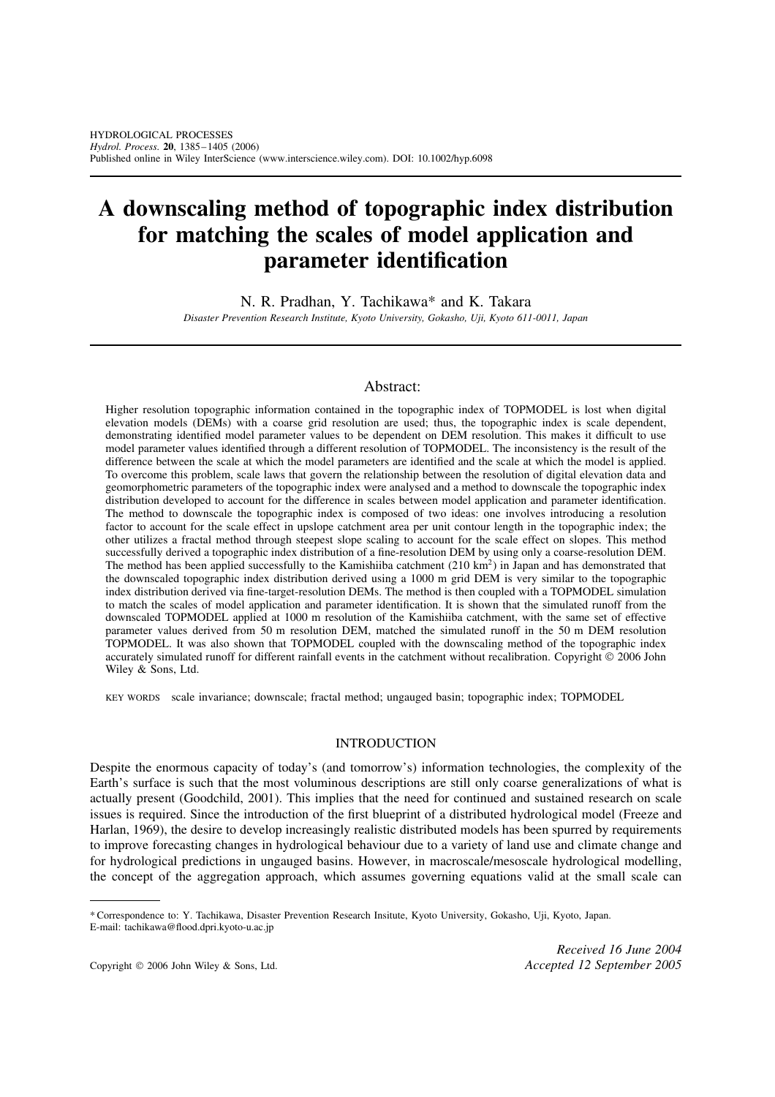# **A downscaling method of topographic index distribution for matching the scales of model application and parameter identification**

N. R. Pradhan, Y. Tachikawa\* and K. Takara

*Disaster Prevention Research Institute, Kyoto University, Gokasho, Uji, Kyoto 611-0011, Japan*

# Abstract:

Higher resolution topographic information contained in the topographic index of TOPMODEL is lost when digital elevation models (DEMs) with a coarse grid resolution are used; thus, the topographic index is scale dependent, demonstrating identified model parameter values to be dependent on DEM resolution. This makes it difficult to use model parameter values identified through a different resolution of TOPMODEL. The inconsistency is the result of the difference between the scale at which the model parameters are identified and the scale at which the model is applied. To overcome this problem, scale laws that govern the relationship between the resolution of digital elevation data and geomorphometric parameters of the topographic index were analysed and a method to downscale the topographic index distribution developed to account for the difference in scales between model application and parameter identification. The method to downscale the topographic index is composed of two ideas: one involves introducing a resolution factor to account for the scale effect in upslope catchment area per unit contour length in the topographic index; the other utilizes a fractal method through steepest slope scaling to account for the scale effect on slopes. This method successfully derived a topographic index distribution of a fine-resolution DEM by using only a coarse-resolution DEM. The method has been applied successfully to the Kamishiiba catchment  $(210 \text{ km}^2)$  in Japan and has demonstrated that the downscaled topographic index distribution derived using a 1000 m grid DEM is very similar to the topographic index distribution derived via fine-target-resolution DEMs. The method is then coupled with a TOPMODEL simulation to match the scales of model application and parameter identification. It is shown that the simulated runoff from the downscaled TOPMODEL applied at 1000 m resolution of the Kamishiiba catchment, with the same set of effective parameter values derived from 50 m resolution DEM, matched the simulated runoff in the 50 m DEM resolution TOPMODEL. It was also shown that TOPMODEL coupled with the downscaling method of the topographic index accurately simulated runoff for different rainfall events in the catchment without recalibration. Copyright  $\oslash$  2006 John Wiley & Sons, Ltd.

KEY WORDS scale invariance; downscale; fractal method; ungauged basin; topographic index; TOPMODEL

#### **INTRODUCTION**

Despite the enormous capacity of today's (and tomorrow's) information technologies, the complexity of the Earth's surface is such that the most voluminous descriptions are still only coarse generalizations of what is actually present (Goodchild, 2001). This implies that the need for continued and sustained research on scale issues is required. Since the introduction of the first blueprint of a distributed hydrological model (Freeze and Harlan, 1969), the desire to develop increasingly realistic distributed models has been spurred by requirements to improve forecasting changes in hydrological behaviour due to a variety of land use and climate change and for hydrological predictions in ungauged basins. However, in macroscale/mesoscale hydrological modelling, the concept of the aggregation approach, which assumes governing equations valid at the small scale can

*Received 16 June 2004* Copyright 2006 John Wiley & Sons, Ltd. *Accepted 12 September 2005*

<sup>\*</sup> Correspondence to: Y. Tachikawa, Disaster Prevention Research Insitute, Kyoto University, Gokasho, Uji, Kyoto, Japan. E-mail: tachikawa@flood.dpri.kyoto-u.ac.jp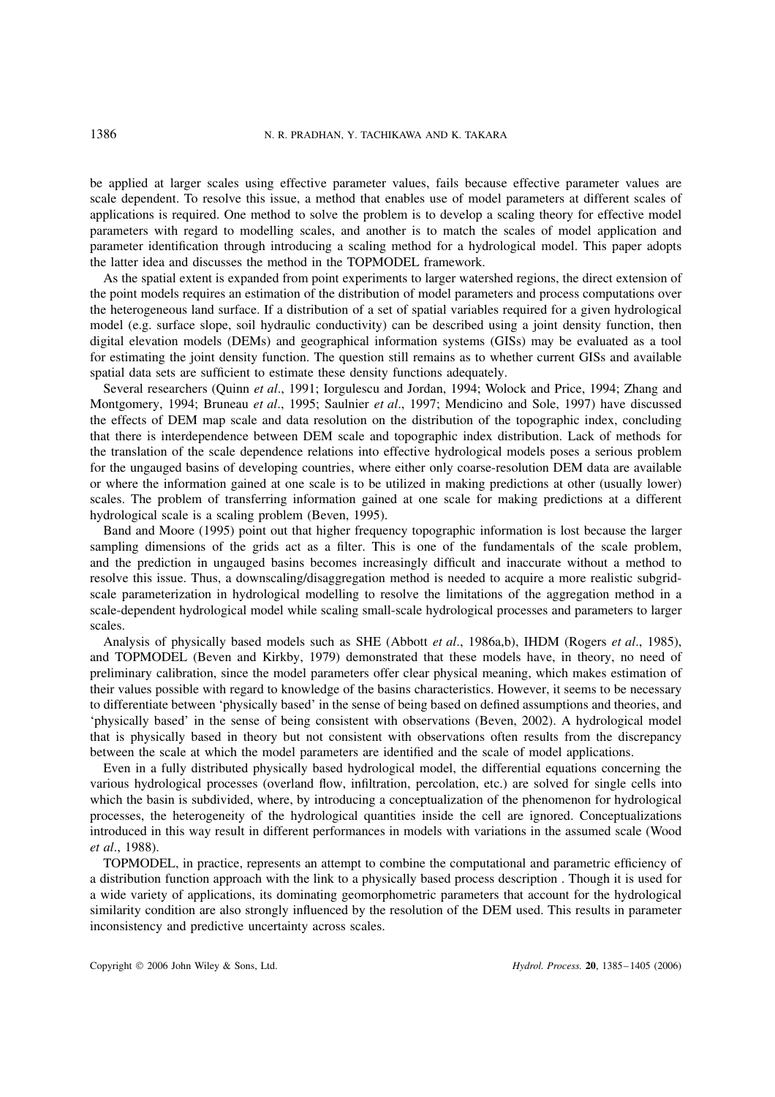be applied at larger scales using effective parameter values, fails because effective parameter values are scale dependent. To resolve this issue, a method that enables use of model parameters at different scales of applications is required. One method to solve the problem is to develop a scaling theory for effective model parameters with regard to modelling scales, and another is to match the scales of model application and parameter identification through introducing a scaling method for a hydrological model. This paper adopts the latter idea and discusses the method in the TOPMODEL framework.

As the spatial extent is expanded from point experiments to larger watershed regions, the direct extension of the point models requires an estimation of the distribution of model parameters and process computations over the heterogeneous land surface. If a distribution of a set of spatial variables required for a given hydrological model (e.g. surface slope, soil hydraulic conductivity) can be described using a joint density function, then digital elevation models (DEMs) and geographical information systems (GISs) may be evaluated as a tool for estimating the joint density function. The question still remains as to whether current GISs and available spatial data sets are sufficient to estimate these density functions adequately.

Several researchers (Quinn *et al*., 1991; Iorgulescu and Jordan, 1994; Wolock and Price, 1994; Zhang and Montgomery, 1994; Bruneau *et al*., 1995; Saulnier *et al*., 1997; Mendicino and Sole, 1997) have discussed the effects of DEM map scale and data resolution on the distribution of the topographic index, concluding that there is interdependence between DEM scale and topographic index distribution. Lack of methods for the translation of the scale dependence relations into effective hydrological models poses a serious problem for the ungauged basins of developing countries, where either only coarse-resolution DEM data are available or where the information gained at one scale is to be utilized in making predictions at other (usually lower) scales. The problem of transferring information gained at one scale for making predictions at a different hydrological scale is a scaling problem (Beven, 1995).

Band and Moore (1995) point out that higher frequency topographic information is lost because the larger sampling dimensions of the grids act as a filter. This is one of the fundamentals of the scale problem, and the prediction in ungauged basins becomes increasingly difficult and inaccurate without a method to resolve this issue. Thus, a downscaling/disaggregation method is needed to acquire a more realistic subgridscale parameterization in hydrological modelling to resolve the limitations of the aggregation method in a scale-dependent hydrological model while scaling small-scale hydrological processes and parameters to larger scales.

Analysis of physically based models such as SHE (Abbott *et al*., 1986a,b), IHDM (Rogers *et al*., 1985), and TOPMODEL (Beven and Kirkby, 1979) demonstrated that these models have, in theory, no need of preliminary calibration, since the model parameters offer clear physical meaning, which makes estimation of their values possible with regard to knowledge of the basins characteristics. However, it seems to be necessary to differentiate between 'physically based' in the sense of being based on defined assumptions and theories, and 'physically based' in the sense of being consistent with observations (Beven, 2002). A hydrological model that is physically based in theory but not consistent with observations often results from the discrepancy between the scale at which the model parameters are identified and the scale of model applications.

Even in a fully distributed physically based hydrological model, the differential equations concerning the various hydrological processes (overland flow, infiltration, percolation, etc.) are solved for single cells into which the basin is subdivided, where, by introducing a conceptualization of the phenomenon for hydrological processes, the heterogeneity of the hydrological quantities inside the cell are ignored. Conceptualizations introduced in this way result in different performances in models with variations in the assumed scale (Wood *et al*., 1988).

TOPMODEL, in practice, represents an attempt to combine the computational and parametric efficiency of a distribution function approach with the link to a physically based process description . Though it is used for a wide variety of applications, its dominating geomorphometric parameters that account for the hydrological similarity condition are also strongly influenced by the resolution of the DEM used. This results in parameter inconsistency and predictive uncertainty across scales.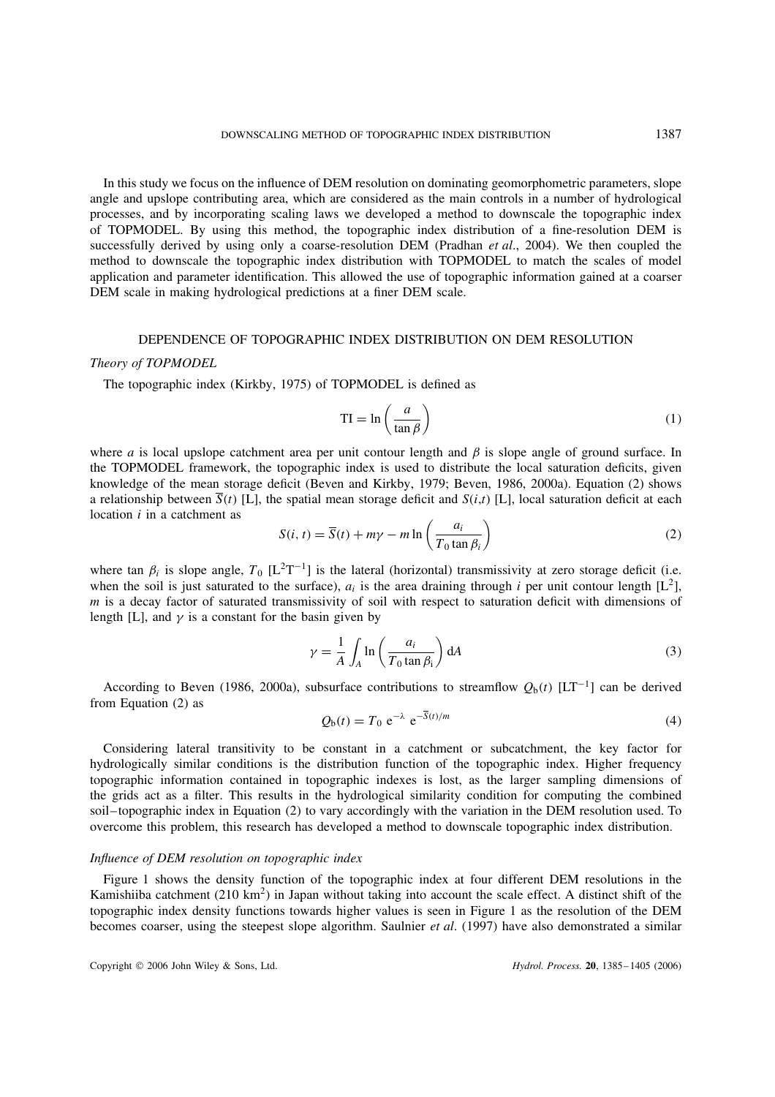In this study we focus on the influence of DEM resolution on dominating geomorphometric parameters, slope angle and upslope contributing area, which are considered as the main controls in a number of hydrological processes, and by incorporating scaling laws we developed a method to downscale the topographic index of TOPMODEL. By using this method, the topographic index distribution of a fine-resolution DEM is successfully derived by using only a coarse-resolution DEM (Pradhan *et al*., 2004). We then coupled the method to downscale the topographic index distribution with TOPMODEL to match the scales of model application and parameter identification. This allowed the use of topographic information gained at a coarser DEM scale in making hydrological predictions at a finer DEM scale.

#### DEPENDENCE OF TOPOGRAPHIC INDEX DISTRIBUTION ON DEM RESOLUTION

#### *Theory of TOPMODEL*

The topographic index (Kirkby, 1975) of TOPMODEL is defined as

$$
TI = \ln\left(\frac{a}{\tan\beta}\right) \tag{1}
$$

where a is local upslope catchment area per unit contour length and  $\beta$  is slope angle of ground surface. In the TOPMODEL framework, the topographic index is used to distribute the local saturation deficits, given knowledge of the mean storage deficit (Beven and Kirkby, 1979; Beven, 1986, 2000a). Equation (2) shows a relationship between  $S(t)$  [L], the spatial mean storage deficit and  $S(i,t)$  [L], local saturation deficit at each location  $i$  in a catchment as

$$
S(i, t) = \overline{S}(t) + m\gamma - m \ln \left( \frac{a_i}{T_0 \tan \beta_i} \right)
$$
 (2)

where tan  $\beta_i$  is slope angle,  $T_0$  [L<sup>2</sup>T<sup>-1</sup>] is the lateral (horizontal) transmissivity at zero storage deficit (i.e. when the soil is just saturated to the surface),  $a_i$  is the area draining through i per unit contour length  $[L^2]$ ,  $m$  is a decay factor of saturated transmissivity of soil with respect to saturation deficit with dimensions of length [L], and  $\gamma$  is a constant for the basin given by

$$
\gamma = \frac{1}{A} \int_{A} \ln \left( \frac{a_i}{T_0 \tan \beta_i} \right) dA \tag{3}
$$

According to Beven (1986, 2000a), subsurface contributions to streamflow  $Q_b(t)$  [LT<sup>-1</sup>] can be derived from Equation (2) as

$$
Q_{b}(t) = T_0 e^{-\lambda} e^{-S(t)/m}
$$
\n(4)

Considering lateral transitivity to be constant in a catchment or subcatchment, the key factor for hydrologically similar conditions is the distribution function of the topographic index. Higher frequency topographic information contained in topographic indexes is lost, as the larger sampling dimensions of the grids act as a filter. This results in the hydrological similarity condition for computing the combined soil–topographic index in Equation (2) to vary accordingly with the variation in the DEM resolution used. To overcome this problem, this research has developed a method to downscale topographic index distribution.

## *Influence of DEM resolution on topographic index*

Figure 1 shows the density function of the topographic index at four different DEM resolutions in the Kamishiiba catchment  $(210 \text{ km}^2)$  in Japan without taking into account the scale effect. A distinct shift of the topographic index density functions towards higher values is seen in Figure 1 as the resolution of the DEM becomes coarser, using the steepest slope algorithm. Saulnier *et al*. (1997) have also demonstrated a similar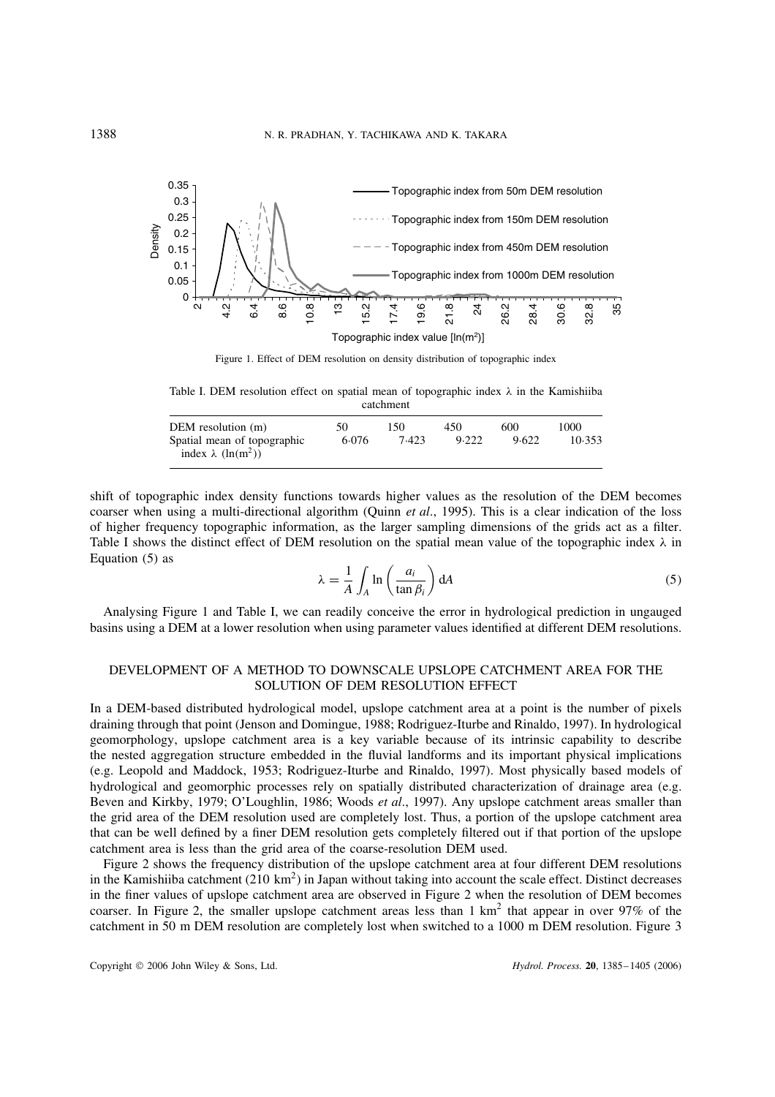

Figure 1. Effect of DEM resolution on density distribution of topographic index

Table I. DEM resolution effect on spatial mean of topographic index  $\lambda$  in the Kamishiiba catchment

| DEM resolution $(m)$                                                 | 50    | 150   | 450   | 600   | 1000   |
|----------------------------------------------------------------------|-------|-------|-------|-------|--------|
| Spatial mean of topographic<br>index $\lambda$ (ln(m <sup>2</sup> )) | 6.076 | 7.423 | 9.222 | 9.622 | 10.353 |

shift of topographic index density functions towards higher values as the resolution of the DEM becomes coarser when using a multi-directional algorithm (Quinn *et al*., 1995). This is a clear indication of the loss of higher frequency topographic information, as the larger sampling dimensions of the grids act as a filter. Table I shows the distinct effect of DEM resolution on the spatial mean value of the topographic index  $\lambda$  in Equation (5) as

$$
\lambda = \frac{1}{A} \int_{A} \ln \left( \frac{a_i}{\tan \beta_i} \right) dA \tag{5}
$$

Analysing Figure 1 and Table I, we can readily conceive the error in hydrological prediction in ungauged basins using a DEM at a lower resolution when using parameter values identified at different DEM resolutions.

# DEVELOPMENT OF A METHOD TO DOWNSCALE UPSLOPE CATCHMENT AREA FOR THE SOLUTION OF DEM RESOLUTION EFFECT

In a DEM-based distributed hydrological model, upslope catchment area at a point is the number of pixels draining through that point (Jenson and Domingue, 1988; Rodriguez-Iturbe and Rinaldo, 1997). In hydrological geomorphology, upslope catchment area is a key variable because of its intrinsic capability to describe the nested aggregation structure embedded in the fluvial landforms and its important physical implications (e.g. Leopold and Maddock, 1953; Rodriguez-Iturbe and Rinaldo, 1997). Most physically based models of hydrological and geomorphic processes rely on spatially distributed characterization of drainage area (e.g. Beven and Kirkby, 1979; O'Loughlin, 1986; Woods *et al*., 1997). Any upslope catchment areas smaller than the grid area of the DEM resolution used are completely lost. Thus, a portion of the upslope catchment area that can be well defined by a finer DEM resolution gets completely filtered out if that portion of the upslope catchment area is less than the grid area of the coarse-resolution DEM used.

Figure 2 shows the frequency distribution of the upslope catchment area at four different DEM resolutions in the Kamishiiba catchment (210  $km<sup>2</sup>$ ) in Japan without taking into account the scale effect. Distinct decreases in the finer values of upslope catchment area are observed in Figure 2 when the resolution of DEM becomes coarser. In Figure 2, the smaller upslope catchment areas less than  $1 \text{ km}^2$  that appear in over 97% of the catchment in 50 m DEM resolution are completely lost when switched to a 1000 m DEM resolution. Figure 3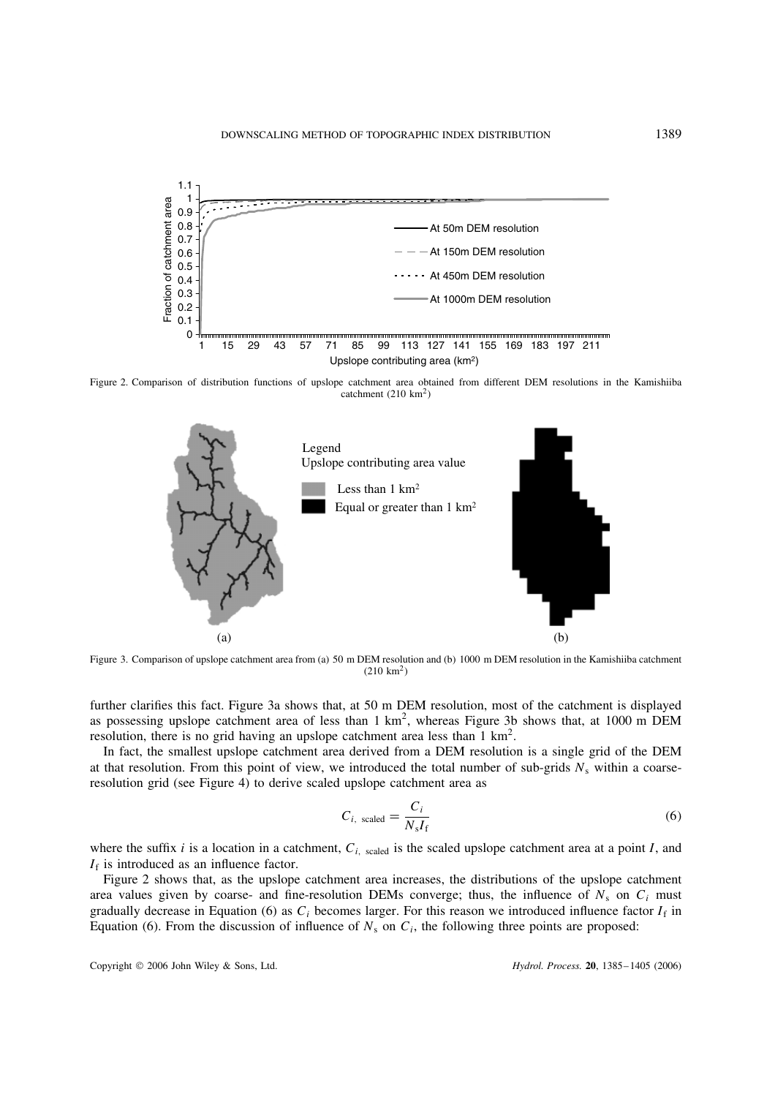

Figure 2. Comparison of distribution functions of upslope catchment area obtained from different DEM resolutions in the Kamishiiba catchment  $(210 \text{ km}^2)$ 



Figure 3. Comparison of upslope catchment area from (a) 50 m DEM resolution and (b) 1000 m DEM resolution in the Kamishiiba catchment  $(210 \text{ km}^2)$ 

further clarifies this fact. Figure 3a shows that, at 50 m DEM resolution, most of the catchment is displayed as possessing upslope catchment area of less than  $1 \text{ km}^2$ , whereas Figure 3b shows that, at 1000 m DEM resolution, there is no grid having an upslope catchment area less than  $1 \text{ km}^2$ .

In fact, the smallest upslope catchment area derived from a DEM resolution is a single grid of the DEM at that resolution. From this point of view, we introduced the total number of sub-grids  $N_s$  within a coarseresolution grid (see Figure 4) to derive scaled upslope catchment area as

$$
C_{i, \text{ scaled}} = \frac{C_i}{N_s I_f} \tag{6}
$$

where the suffix i is a location in a catchment,  $C_i$ , scaled is the scaled upslope catchment area at a point I, and  $I_f$  is introduced as an influence factor.

Figure 2 shows that, as the upslope catchment area increases, the distributions of the upslope catchment area values given by coarse- and fine-resolution DEMs converge; thus, the influence of  $N_s$  on  $C_i$  must gradually decrease in Equation (6) as  $C_i$  becomes larger. For this reason we introduced influence factor  $I_f$  in Equation (6). From the discussion of influence of  $N_s$  on  $C_i$ , the following three points are proposed: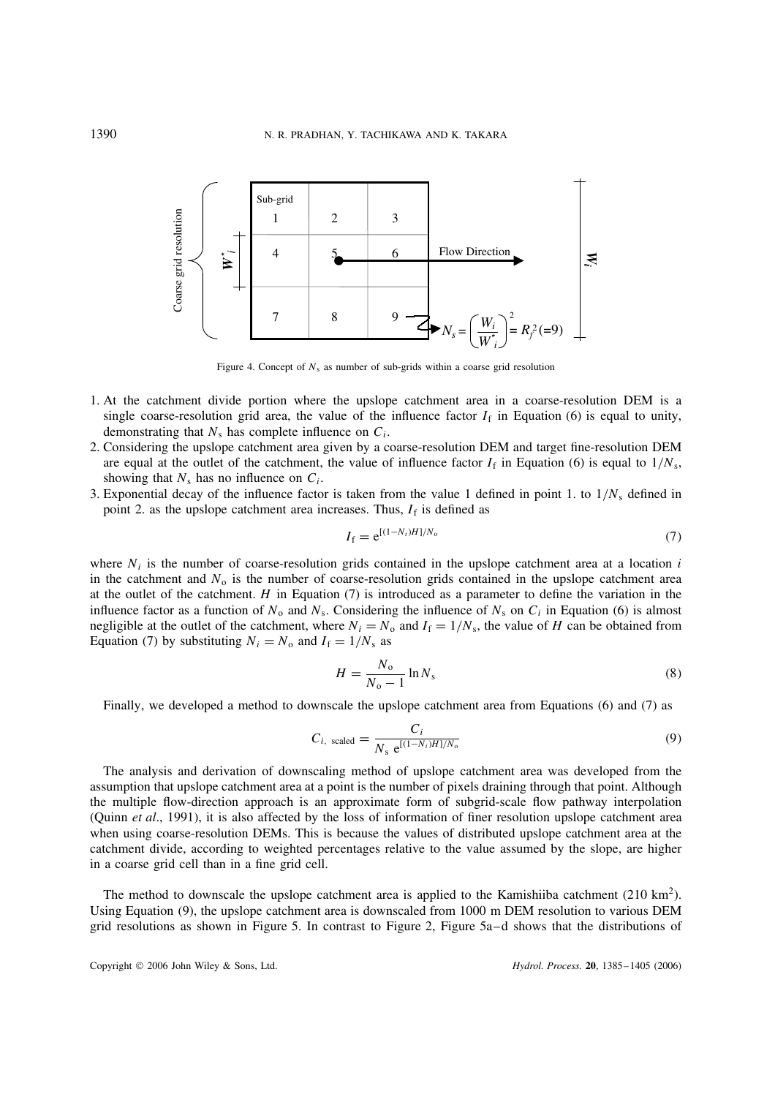

Figure 4. Concept of  $N_s$  as number of sub-grids within a coarse grid resolution

- 1. At the catchment divide portion where the upslope catchment area in a coarse-resolution DEM is a single coarse-resolution grid area, the value of the influence factor  $I_f$  in Equation (6) is equal to unity, demonstrating that  $N_s$  has complete influence on  $C_i$ .
- 2. Considering the upslope catchment area given by a coarse-resolution DEM and target fine-resolution DEM are equal at the outlet of the catchment, the value of influence factor  $I_f$  in Equation (6) is equal to  $1/N_s$ , showing that  $N_s$  has no influence on  $C_i$ .
- 3. Exponential decay of the influence factor is taken from the value 1 defined in point 1. to  $1/N_s$  defined in point 2. as the upslope catchment area increases. Thus,  $I_f$  is defined as

$$
I_{\rm f} = \mathrm{e}^{\left[(1 - N_i)H\right]/N_{\rm o}}\tag{7}
$$

where  $N_i$  is the number of coarse-resolution grids contained in the upslope catchment area at a location i in the catchment and  $N<sub>o</sub>$  is the number of coarse-resolution grids contained in the upslope catchment area at the outlet of the catchment. H in Equation  $(7)$  is introduced as a parameter to define the variation in the influence factor as a function of  $N_0$  and  $N_s$ . Considering the influence of  $N_s$  on  $C_i$  in Equation (6) is almost negligible at the outlet of the catchment, where  $N_i = N_0$  and  $I_f = 1/N_s$ , the value of H can be obtained from Equation (7) by substituting  $N_i = N_o$  and  $I_f = 1/N_s$  as

$$
H = \frac{N_o}{N_o - 1} \ln N_s \tag{8}
$$

Finally, we developed a method to downscale the upslope catchment area from Equations (6) and (7) as

$$
C_{i, \text{ scaled}} = \frac{C_i}{N_s e^{[(1 - N_i)H]/N_o}}
$$
(9)

The analysis and derivation of downscaling method of upslope catchment area was developed from the assumption that upslope catchment area at a point is the number of pixels draining through that point. Although the multiple flow-direction approach is an approximate form of subgrid-scale flow pathway interpolation (Quinn *et al*., 1991), it is also affected by the loss of information of finer resolution upslope catchment area when using coarse-resolution DEMs. This is because the values of distributed upslope catchment area at the catchment divide, according to weighted percentages relative to the value assumed by the slope, are higher in a coarse grid cell than in a fine grid cell.

The method to downscale the upslope catchment area is applied to the Kamishiiba catchment (210  $\text{km}^2$ ). Using Equation (9), the upslope catchment area is downscaled from 1000 m DEM resolution to various DEM grid resolutions as shown in Figure 5. In contrast to Figure 2, Figure 5a–d shows that the distributions of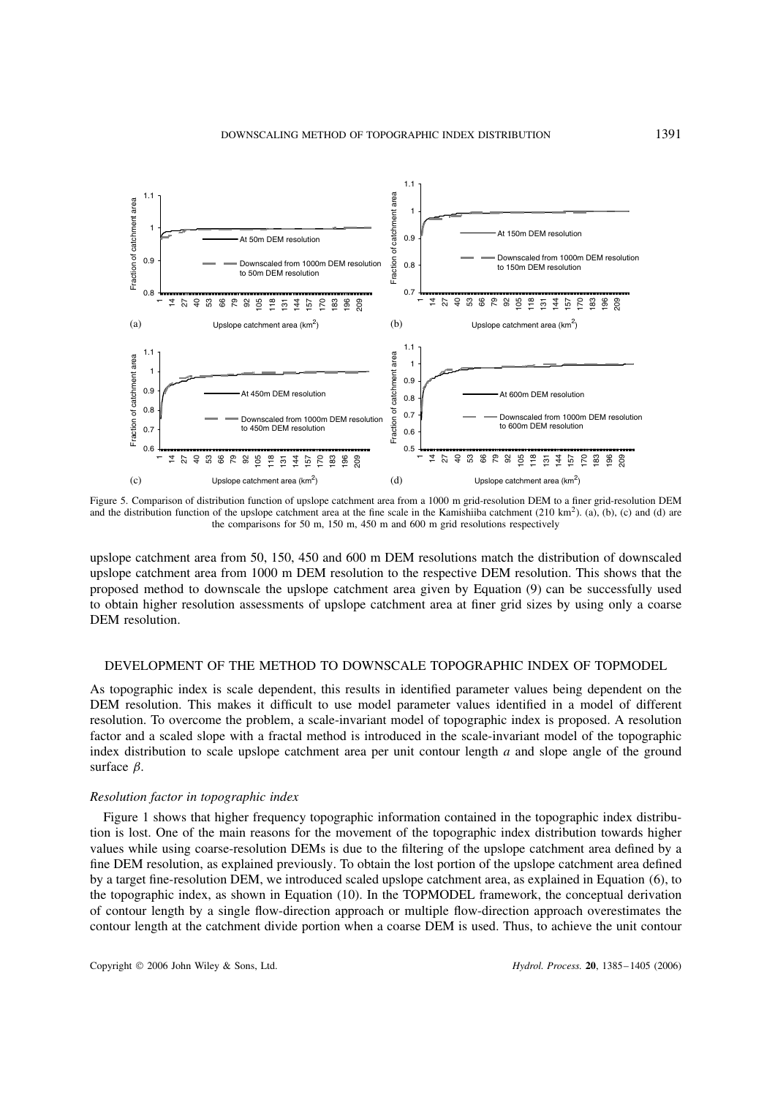

Figure 5. Comparison of distribution function of upslope catchment area from a 1000 m grid-resolution DEM to a finer grid-resolution DEM and the distribution function of the upslope catchment area at the fine scale in the Kamishiiba catchment  $(210 \text{ km}^2)$ . (a), (b), (c) and (d) are the comparisons for 50 m, 150 m, 450 m and 600 m grid resolutions respectively

upslope catchment area from 50, 150, 450 and 600 m DEM resolutions match the distribution of downscaled upslope catchment area from 1000 m DEM resolution to the respective DEM resolution. This shows that the proposed method to downscale the upslope catchment area given by Equation (9) can be successfully used to obtain higher resolution assessments of upslope catchment area at finer grid sizes by using only a coarse DEM resolution.

## DEVELOPMENT OF THE METHOD TO DOWNSCALE TOPOGRAPHIC INDEX OF TOPMODEL

As topographic index is scale dependent, this results in identified parameter values being dependent on the DEM resolution. This makes it difficult to use model parameter values identified in a model of different resolution. To overcome the problem, a scale-invariant model of topographic index is proposed. A resolution factor and a scaled slope with a fractal method is introduced in the scale-invariant model of the topographic index distribution to scale upslope catchment area per unit contour length a and slope angle of the ground surface  $\beta$ .

#### *Resolution factor in topographic index*

Figure 1 shows that higher frequency topographic information contained in the topographic index distribution is lost. One of the main reasons for the movement of the topographic index distribution towards higher values while using coarse-resolution DEMs is due to the filtering of the upslope catchment area defined by a fine DEM resolution, as explained previously. To obtain the lost portion of the upslope catchment area defined by a target fine-resolution DEM, we introduced scaled upslope catchment area, as explained in Equation (6), to the topographic index, as shown in Equation (10). In the TOPMODEL framework, the conceptual derivation of contour length by a single flow-direction approach or multiple flow-direction approach overestimates the contour length at the catchment divide portion when a coarse DEM is used. Thus, to achieve the unit contour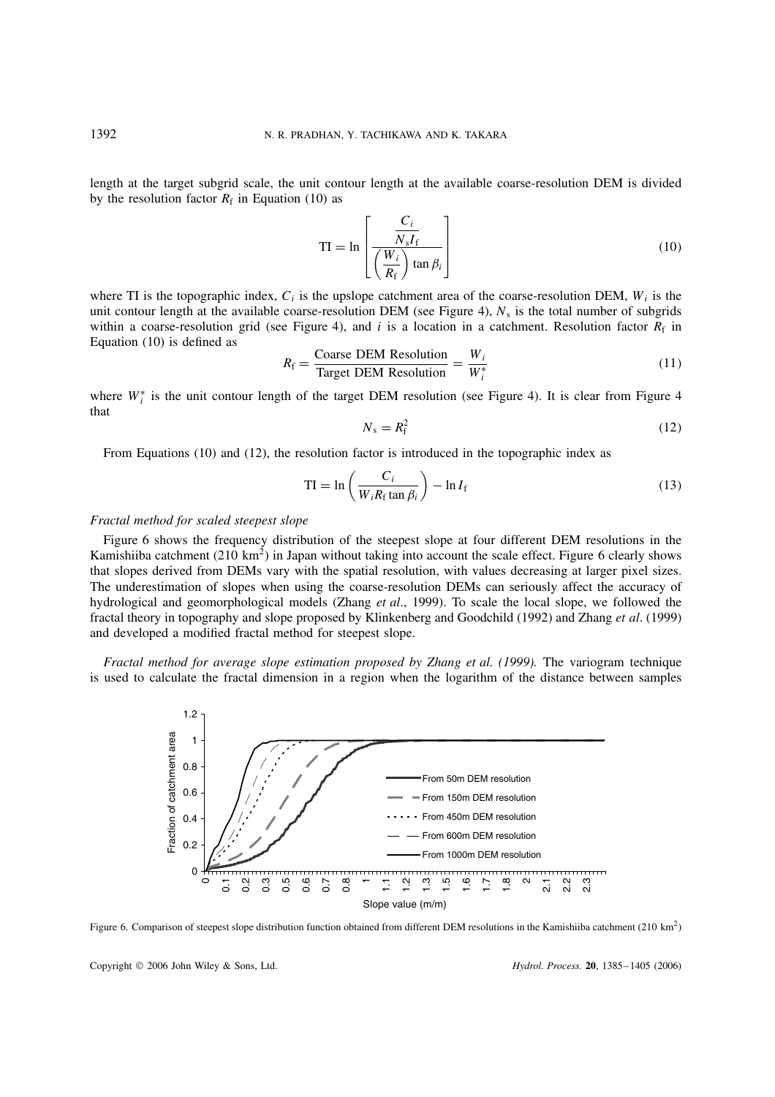length at the target subgrid scale, the unit contour length at the available coarse-resolution DEM is divided by the resolution factor  $R_f$  in Equation (10) as

$$
TI = \ln\left[\frac{\frac{C_i}{N_s I_f}}{\left(\frac{W_i}{R_f}\right) \tan \beta_i}\right]
$$
(10)

where TI is the topographic index,  $C_i$  is the upslope catchment area of the coarse-resolution DEM,  $W_i$  is the unit contour length at the available coarse-resolution DEM (see Figure 4),  $N_s$  is the total number of subgrids within a coarse-resolution grid (see Figure 4), and i is a location in a catchment. Resolution factor  $R_f$  in Equation (10) is defined as

$$
R_{\rm f} = \frac{\text{Coarse DEM Resolution}}{\text{Target DEM Resolution}} = \frac{W_i}{W_i^*}
$$
 (11)

where  $W_i^*$  is the unit contour length of the target DEM resolution (see Figure 4). It is clear from Figure 4 that

$$
N_s = R_f^2 \tag{12}
$$

From Equations (10) and (12), the resolution factor is introduced in the topographic index as

$$
TI = \ln\left(\frac{C_i}{W_i R_f \tan \beta_i}\right) - \ln I_f \tag{13}
$$

## *Fractal method for scaled steepest slope*

Figure 6 shows the frequency distribution of the steepest slope at four different DEM resolutions in the Kamishiiba catchment (210 km<sup>2</sup>) in Japan without taking into account the scale effect. Figure 6 clearly shows that slopes derived from DEMs vary with the spatial resolution, with values decreasing at larger pixel sizes. The underestimation of slopes when using the coarse-resolution DEMs can seriously affect the accuracy of hydrological and geomorphological models (Zhang *et al*., 1999). To scale the local slope, we followed the fractal theory in topography and slope proposed by Klinkenberg and Goodchild (1992) and Zhang *et al*. (1999) and developed a modified fractal method for steepest slope.

*Fractal method for average slope estimation proposed by Zhang et al. (1999).* The variogram technique is used to calculate the fractal dimension in a region when the logarithm of the distance between samples



Figure 6. Comparison of steepest slope distribution function obtained from different DEM resolutions in the Kamishiiba catchment (210 km<sup>2</sup>)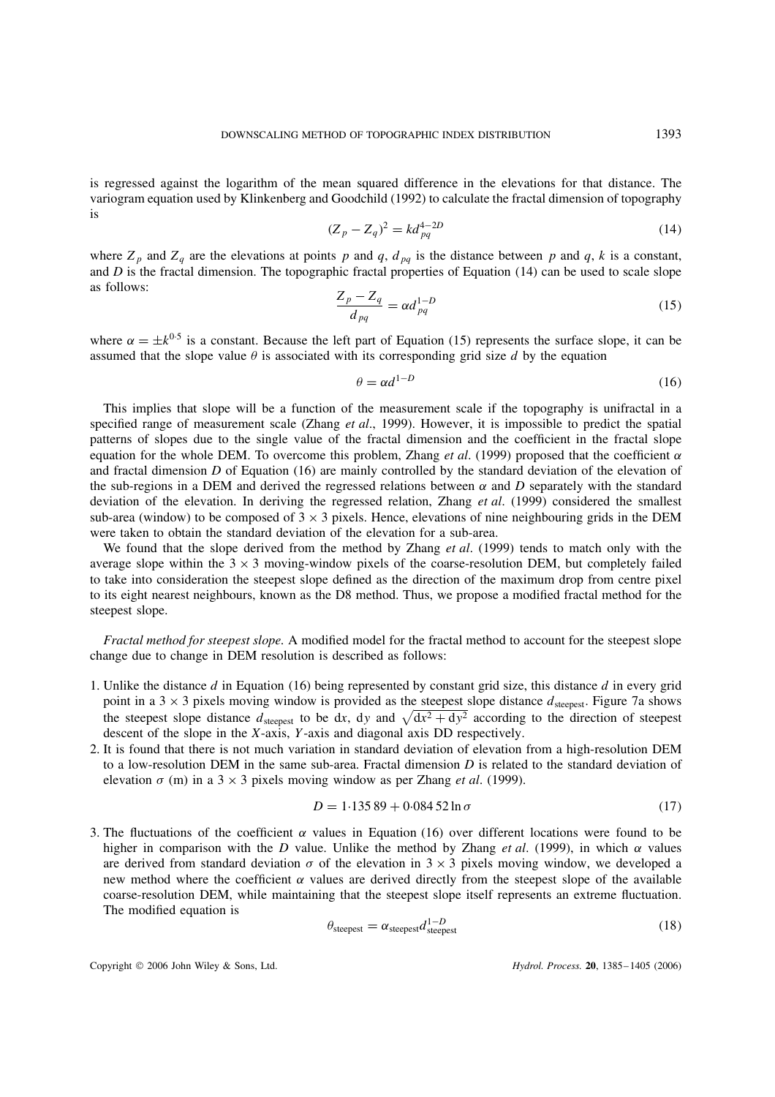is regressed against the logarithm of the mean squared difference in the elevations for that distance. The variogram equation used by Klinkenberg and Goodchild (1992) to calculate the fractal dimension of topography is

$$
(Z_p - Z_q)^2 = kd_{pq}^{4-2D} \tag{14}
$$

where  $Z_p$  and  $Z_q$  are the elevations at points p and q,  $d_{pq}$  is the distance between p and q, k is a constant, and  $D$  is the fractal dimension. The topographic fractal properties of Equation (14) can be used to scale slope as follows:  $Z_p - Z_q$ 

$$
\frac{Z_p - Z_q}{d_{pq}} = \alpha d_{pq}^{1-D} \tag{15}
$$

where  $\alpha = \pm k^{0.5}$  is a constant. Because the left part of Equation (15) represents the surface slope, it can be assumed that the slope value  $\theta$  is associated with its corresponding grid size d by the equation

$$
\theta = \alpha d^{1-D} \tag{16}
$$

This implies that slope will be a function of the measurement scale if the topography is unifractal in a specified range of measurement scale (Zhang *et al*., 1999). However, it is impossible to predict the spatial patterns of slopes due to the single value of the fractal dimension and the coefficient in the fractal slope equation for the whole DEM. To overcome this problem, Zhang *et al.* (1999) proposed that the coefficient  $\alpha$ and fractal dimension  $D$  of Equation (16) are mainly controlled by the standard deviation of the elevation of the sub-regions in a DEM and derived the regressed relations between  $\alpha$  and D separately with the standard deviation of the elevation. In deriving the regressed relation, Zhang *et al*. (1999) considered the smallest sub-area (window) to be composed of  $3 \times 3$  pixels. Hence, elevations of nine neighbouring grids in the DEM were taken to obtain the standard deviation of the elevation for a sub-area.

We found that the slope derived from the method by Zhang *et al*. (1999) tends to match only with the average slope within the  $3 \times 3$  moving-window pixels of the coarse-resolution DEM, but completely failed to take into consideration the steepest slope defined as the direction of the maximum drop from centre pixel to its eight nearest neighbours, known as the D8 method. Thus, we propose a modified fractal method for the steepest slope.

*Fractal method for steepest slope.* A modified model for the fractal method to account for the steepest slope change due to change in DEM resolution is described as follows:

- 1. Unlike the distance  $d$  in Equation (16) being represented by constant grid size, this distance  $d$  in every grid point in a 3  $\times$  3 pixels moving window is provided as the steepest slope distance  $d_{\text{steepest}}$ . Figure 7a shows the steepest slope distance  $d_{\text{steepest}}$  to be dx, dy and  $\sqrt{dx^2 + dy^2}$  according to the direction of steepest descent of the slope in the X-axis, Y-axis and diagonal axis DD respectively.
- 2. It is found that there is not much variation in standard deviation of elevation from a high-resolution DEM to a low-resolution DEM in the same sub-area. Fractal dimension  $D$  is related to the standard deviation of elevation  $\sigma$  (m) in a 3  $\times$  3 pixels moving window as per Zhang *et al.* (1999).

$$
D = 1.13589 + 0.08452 \ln \sigma \tag{17}
$$

3. The fluctuations of the coefficient  $\alpha$  values in Equation (16) over different locations were found to be higher in comparison with the D value. Unlike the method by Zhang *et al.* (1999), in which  $\alpha$  values are derived from standard deviation  $\sigma$  of the elevation in 3  $\times$  3 pixels moving window, we developed a new method where the coefficient  $\alpha$  values are derived directly from the steepest slope of the available coarse-resolution DEM, while maintaining that the steepest slope itself represents an extreme fluctuation. The modified equation is

$$
\theta_{\text{steepest}} = \alpha_{\text{steepest}} d_{\text{steepest}}^{1-D} \tag{18}
$$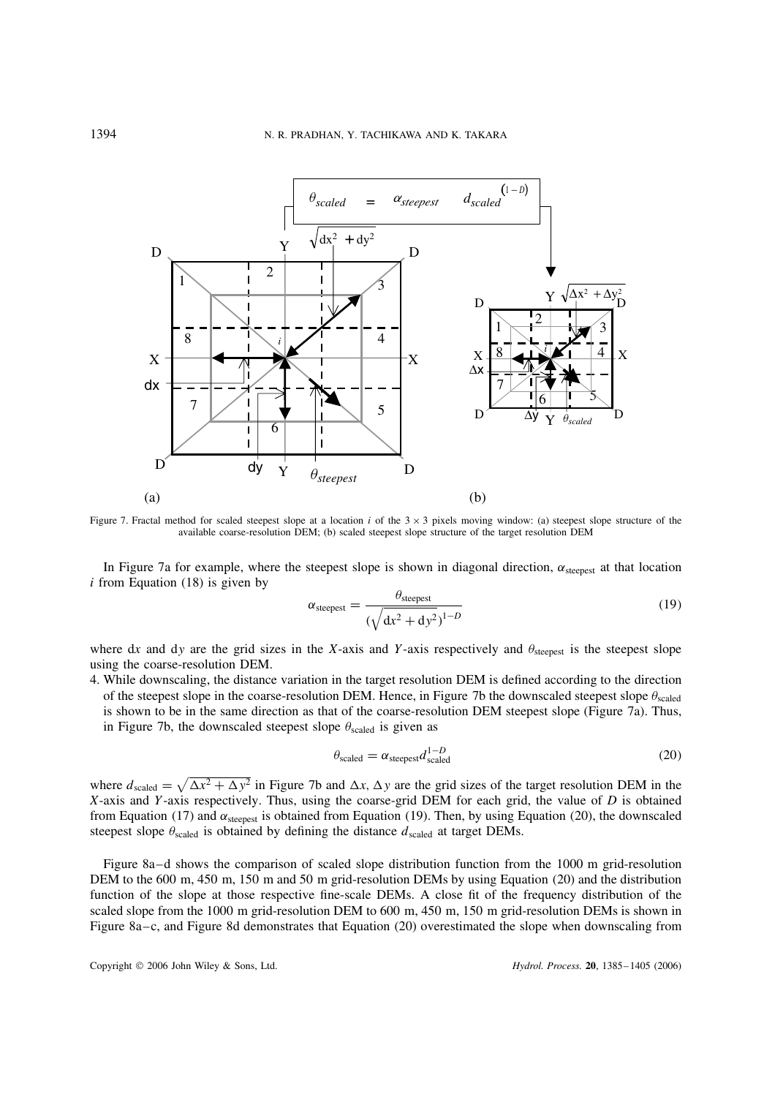

Figure 7. Fractal method for scaled steepest slope at a location i of the  $3 \times 3$  pixels moving window: (a) steepest slope structure of the available coarse-resolution DEM; (b) scaled steepest slope structure of the target resolution DEM

In Figure 7a for example, where the steepest slope is shown in diagonal direction,  $\alpha_{\text{steepest}}$  at that location  $i$  from Equation (18) is given by

$$
\alpha_{\text{steepest}} = \frac{\theta_{\text{steepest}}}{(\sqrt{\text{dx}^2 + \text{d}y^2})^{1-D}}
$$
(19)

where dx and dy are the grid sizes in the X-axis and Y-axis respectively and  $\theta_{\text{steenest}}$  is the steepest slope using the coarse-resolution DEM.

4. While downscaling, the distance variation in the target resolution DEM is defined according to the direction of the steepest slope in the coarse-resolution DEM. Hence, in Figure 7b the downscaled steepest slope  $\theta_{\rm scaled}$ is shown to be in the same direction as that of the coarse-resolution DEM steepest slope (Figure 7a). Thus, in Figure 7b, the downscaled steepest slope  $\theta_{\text{scaled}}$  is given as

$$
\theta_{\text{scaled}} = \alpha_{\text{steepest}} d_{\text{scaled}}^{1-D} \tag{20}
$$

where  $d_{\text{scaled}} = \sqrt{\Delta x^2 + \Delta y^2}$  in Figure 7b and  $\Delta x$ ,  $\Delta y$  are the grid sizes of the target resolution DEM in the X-axis and Y-axis respectively. Thus, using the coarse-grid DEM for each grid, the value of  $D$  is obtained from Equation (17) and  $\alpha_{\text{steepest}}$  is obtained from Equation (19). Then, by using Equation (20), the downscaled steepest slope  $\theta_{\text{scaled}}$  is obtained by defining the distance  $d_{\text{scaled}}$  at target DEMs.

Figure 8a–d shows the comparison of scaled slope distribution function from the 1000 m grid-resolution DEM to the 600 m, 450 m, 150 m and 50 m grid-resolution DEMs by using Equation (20) and the distribution function of the slope at those respective fine-scale DEMs. A close fit of the frequency distribution of the scaled slope from the 1000 m grid-resolution DEM to 600 m, 450 m, 150 m grid-resolution DEMs is shown in Figure 8a–c, and Figure 8d demonstrates that Equation (20) overestimated the slope when downscaling from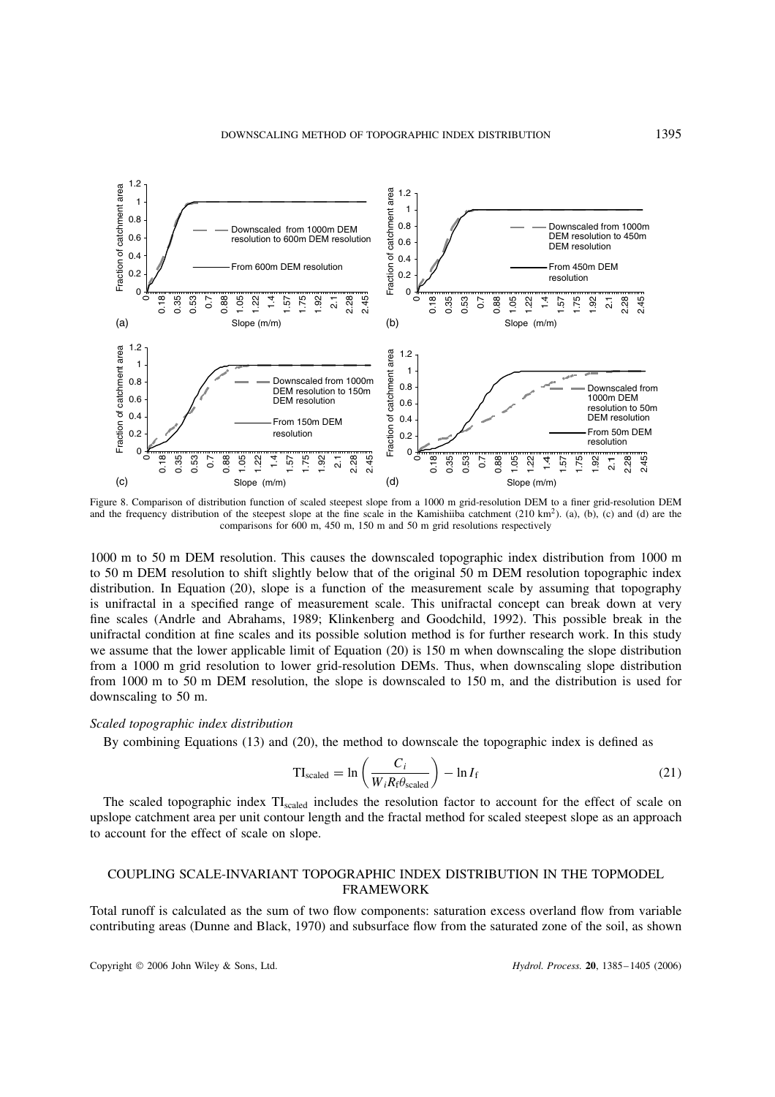

Figure 8. Comparison of distribution function of scaled steepest slope from a 1000 m grid-resolution DEM to a finer grid-resolution DEM and the frequency distribution of the steepest slope at the fine scale in the Kamishiiba catchment  $(210 \text{ km}^2)$ . (a), (b), (c) and (d) are the comparisons for 600 m, 450 m, 150 m and 50 m grid resolutions respectively

1000 m to 50 m DEM resolution. This causes the downscaled topographic index distribution from 1000 m to 50 m DEM resolution to shift slightly below that of the original 50 m DEM resolution topographic index distribution. In Equation (20), slope is a function of the measurement scale by assuming that topography is unifractal in a specified range of measurement scale. This unifractal concept can break down at very fine scales (Andrle and Abrahams, 1989; Klinkenberg and Goodchild, 1992). This possible break in the unifractal condition at fine scales and its possible solution method is for further research work. In this study we assume that the lower applicable limit of Equation (20) is 150 m when downscaling the slope distribution from a 1000 m grid resolution to lower grid-resolution DEMs. Thus, when downscaling slope distribution from 1000 m to 50 m DEM resolution, the slope is downscaled to 150 m, and the distribution is used for downscaling to 50 m.

#### *Scaled topographic index distribution*

By combining Equations (13) and (20), the method to downscale the topographic index is defined as

$$
TI_{\text{scaled}} = \ln\left(\frac{C_i}{W_i R_f \theta_{\text{scaled}}}\right) - \ln I_f \tag{21}
$$

The scaled topographic index TI<sub>scaled</sub> includes the resolution factor to account for the effect of scale on upslope catchment area per unit contour length and the fractal method for scaled steepest slope as an approach to account for the effect of scale on slope.

# COUPLING SCALE-INVARIANT TOPOGRAPHIC INDEX DISTRIBUTION IN THE TOPMODEL **FRAMEWORK**

Total runoff is calculated as the sum of two flow components: saturation excess overland flow from variable contributing areas (Dunne and Black, 1970) and subsurface flow from the saturated zone of the soil, as shown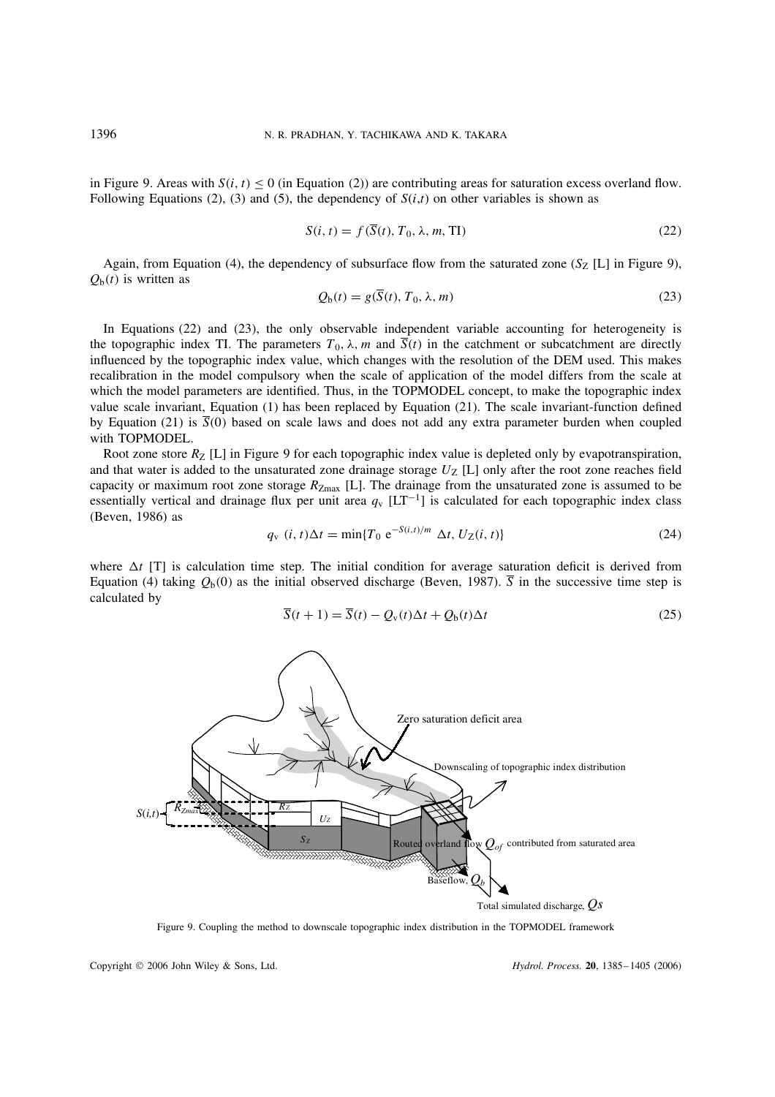in Figure 9. Areas with  $S(i, t) \leq 0$  (in Equation (2)) are contributing areas for saturation excess overland flow. Following Equations (2), (3) and (5), the dependency of  $S(i,t)$  on other variables is shown as

$$
S(i, t) = f(\overline{S}(t), T_0, \lambda, m, TI)
$$
\n(22)

Again, from Equation (4), the dependency of subsurface flow from the saturated zone  $(S_{Z} | L]$  in Figure 9),  $Q_{b}(t)$  is written as

$$
Q_{b}(t) = g(\overline{S}(t), T_{0}, \lambda, m)
$$
\n(23)

In Equations (22) and (23), the only observable independent variable accounting for heterogeneity is the topographic index TI. The parameters  $T_0$ ,  $\lambda$ , m and  $S(t)$  in the catchment or subcatchment are directly influenced by the topographic index value, which changes with the resolution of the DEM used. This makes recalibration in the model compulsory when the scale of application of the model differs from the scale at which the model parameters are identified. Thus, in the TOPMODEL concept, to make the topographic index value scale invariant, Equation (1) has been replaced by Equation (21). The scale invariant-function defined by Equation  $(21)$  is  $S(0)$  based on scale laws and does not add any extra parameter burden when coupled with TOPMODEL.

Root zone store  $R_z$  [L] in Figure 9 for each topographic index value is depleted only by evapotranspiration, and that water is added to the unsaturated zone drainage storage  $U_Z$  [L] only after the root zone reaches field capacity or maximum root zone storage  $R_{Zmax}$  [L]. The drainage from the unsaturated zone is assumed to be essentially vertical and drainage flux per unit area  $q_v$  [LT<sup>-1</sup>] is calculated for each topographic index class (Beven, 1986) as

$$
q_{v}(i, t)\Delta t = \min\{T_0 e^{-S(i, t)/m} \Delta t, U_Z(i, t)\}\tag{24}
$$

where  $\Delta t$  [T] is calculation time step. The initial condition for average saturation deficit is derived from Equation (4) taking  $Q_b(0)$  as the initial observed discharge (Beven, 1987). S in the successive time step is calculated by

$$
\overline{S}(t+1) = \overline{S}(t) - Q_{\rm v}(t)\Delta t + Q_{\rm b}(t)\Delta t \tag{25}
$$



Figure 9. Coupling the method to downscale topographic index distribution in the TOPMODEL framework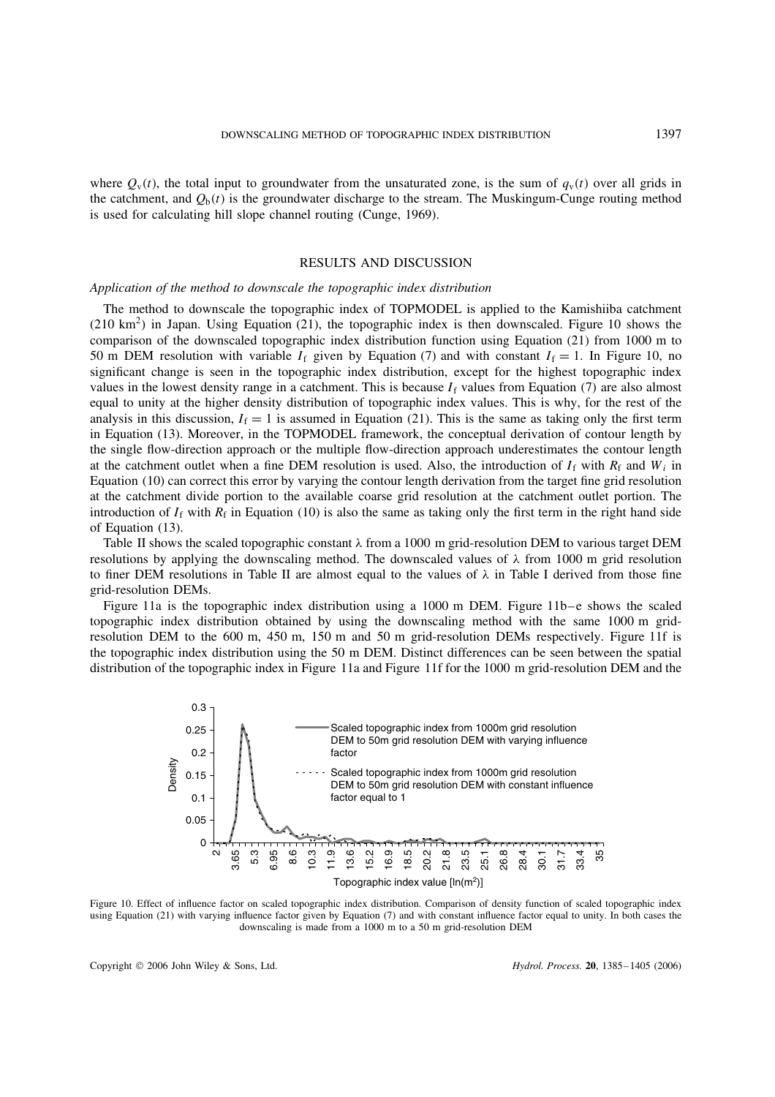where  $Q_v(t)$ , the total input to groundwater from the unsaturated zone, is the sum of  $q_v(t)$  over all grids in the catchment, and  $Q_{b}(t)$  is the groundwater discharge to the stream. The Muskingum-Cunge routing method is used for calculating hill slope channel routing (Cunge, 1969).

## RESULTS AND DISCUSSION

#### *Application of the method to downscale the topographic index distribution*

The method to downscale the topographic index of TOPMODEL is applied to the Kamishiiba catchment (210 km<sup>2</sup>) in Japan. Using Equation (21), the topographic index is then downscaled. Figure 10 shows the comparison of the downscaled topographic index distribution function using Equation (21) from 1000 m to 50 m DEM resolution with variable  $I_f$  given by Equation (7) and with constant  $I_f = 1$ . In Figure 10, no significant change is seen in the topographic index distribution, except for the highest topographic index values in the lowest density range in a catchment. This is because  $I_f$  values from Equation (7) are also almost equal to unity at the higher density distribution of topographic index values. This is why, for the rest of the analysis in this discussion,  $I_f = 1$  is assumed in Equation (21). This is the same as taking only the first term in Equation (13). Moreover, in the TOPMODEL framework, the conceptual derivation of contour length by the single flow-direction approach or the multiple flow-direction approach underestimates the contour length at the catchment outlet when a fine DEM resolution is used. Also, the introduction of  $I_f$  with  $R_f$  and  $W_i$  in Equation (10) can correct this error by varying the contour length derivation from the target fine grid resolution at the catchment divide portion to the available coarse grid resolution at the catchment outlet portion. The introduction of  $I_f$  with  $R_f$  in Equation (10) is also the same as taking only the first term in the right hand side of Equation (13).

Table II shows the scaled topographic constant  $\lambda$  from a 1000 m grid-resolution DEM to various target DEM resolutions by applying the downscaling method. The downscaled values of  $\lambda$  from 1000 m grid resolution to finer DEM resolutions in Table II are almost equal to the values of  $\lambda$  in Table I derived from those fine grid-resolution DEMs.

Figure 11a is the topographic index distribution using a 1000 m DEM. Figure 11b–e shows the scaled topographic index distribution obtained by using the downscaling method with the same 1000 m gridresolution DEM to the 600 m, 450 m, 150 m and 50 m grid-resolution DEMs respectively. Figure 11f is the topographic index distribution using the 50 m DEM. Distinct differences can be seen between the spatial distribution of the topographic index in Figure 11a and Figure 11f for the 1000 m grid-resolution DEM and the



Figure 10. Effect of influence factor on scaled topographic index distribution. Comparison of density function of scaled topographic index using Equation (21) with varying influence factor given by Equation (7) and with constant influence factor equal to unity. In both cases the downscaling is made from a 1000 m to a 50 m grid-resolution DEM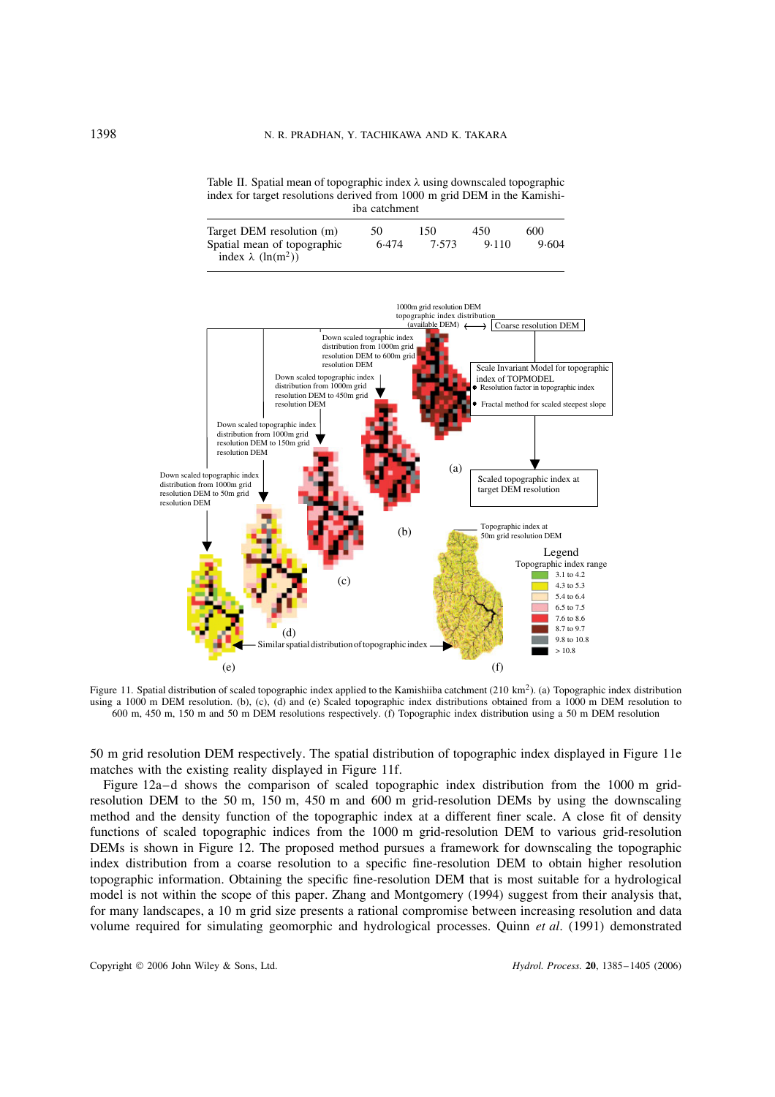Table II. Spatial mean of topographic index  $\lambda$  using downscaled topographic index for target resolutions derived from 1000 m grid DEM in the Kamishiiba catchment

| Target DEM resolution (m)<br>Spatial mean of topographic<br>index $\lambda$ (ln(m <sup>2</sup> )) | 50<br>6.474 | 150<br>7.573 | 450<br>9.110 | 600<br>9.604 |
|---------------------------------------------------------------------------------------------------|-------------|--------------|--------------|--------------|
|                                                                                                   |             |              |              |              |



Figure 11. Spatial distribution of scaled topographic index applied to the Kamishiiba catchment (210 km<sup>2</sup>). (a) Topographic index distribution using a 1000 m DEM resolution. (b), (c), (d) and (e) Scaled topographic index distributions obtained from a  $1000 \text{ m}$  DEM resolution to 600 m, 450 m, 150 m and 50 m DEM resolutions respectively. (f) Topographic index distribution using a 50 m DEM resolution

50 m grid resolution DEM respectively. The spatial distribution of topographic index displayed in Figure 11e matches with the existing reality displayed in Figure 11f.

Figure 12a–d shows the comparison of scaled topographic index distribution from the 1000 m gridresolution DEM to the 50 m, 150 m, 450 m and 600 m grid-resolution DEMs by using the downscaling method and the density function of the topographic index at a different finer scale. A close fit of density functions of scaled topographic indices from the 1000 m grid-resolution DEM to various grid-resolution DEMs is shown in Figure 12. The proposed method pursues a framework for downscaling the topographic index distribution from a coarse resolution to a specific fine-resolution DEM to obtain higher resolution topographic information. Obtaining the specific fine-resolution DEM that is most suitable for a hydrological model is not within the scope of this paper. Zhang and Montgomery (1994) suggest from their analysis that, for many landscapes, a 10 m grid size presents a rational compromise between increasing resolution and data volume required for simulating geomorphic and hydrological processes. Quinn *et al*. (1991) demonstrated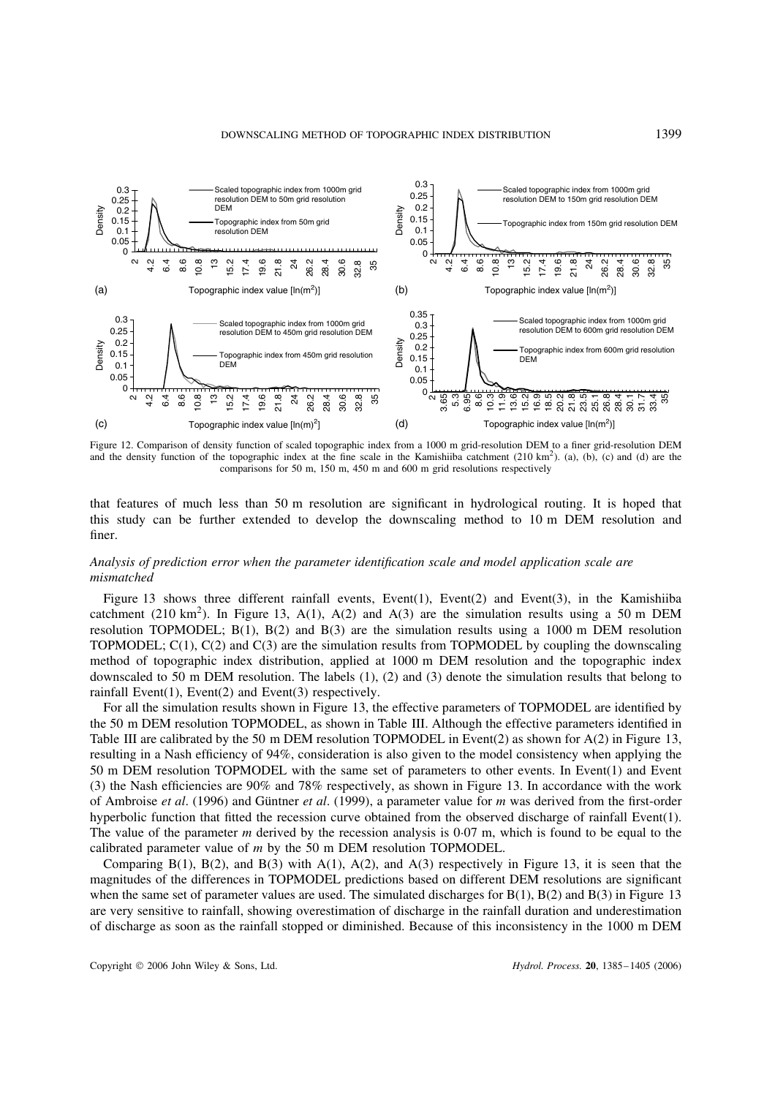

Figure 12. Comparison of density function of scaled topographic index from a 1000 m grid-resolution DEM to a finer grid-resolution DEM and the density function of the topographic index at the fine scale in the Kamishiiba catchment  $(210 \text{ km}^2)$ . (a), (b), (c) and (d) are the comparisons for 50 m, 150 m, 450 m and 600 m grid resolutions respectively

that features of much less than 50 m resolution are significant in hydrological routing. It is hoped that this study can be further extended to develop the downscaling method to 10 m DEM resolution and finer.

# *Analysis of prediction error when the parameter identification scale and model application scale are mismatched*

Figure 13 shows three different rainfall events, Event(1), Event(2) and Event(3), in the Kamishiiba catchment (210 km<sup>2</sup>). In Figure 13, A(1), A(2) and A(3) are the simulation results using a 50 m DEM resolution TOPMODEL; B(1), B(2) and B(3) are the simulation results using a 1000 m DEM resolution TOPMODEL;  $C(1)$ ,  $C(2)$  and  $C(3)$  are the simulation results from TOPMODEL by coupling the downscaling method of topographic index distribution, applied at 1000 m DEM resolution and the topographic index downscaled to 50 m DEM resolution. The labels (1), (2) and (3) denote the simulation results that belong to rainfall Event(1), Event(2) and Event(3) respectively.

For all the simulation results shown in Figure 13, the effective parameters of TOPMODEL are identified by the 50 m DEM resolution TOPMODEL, as shown in Table III. Although the effective parameters identified in Table III are calibrated by the 50 m DEM resolution TOPMODEL in Event(2) as shown for A(2) in Figure 13, resulting in a Nash efficiency of 94%, consideration is also given to the model consistency when applying the 50 m DEM resolution TOPMODEL with the same set of parameters to other events. In Event(1) and Event (3) the Nash efficiencies are 90% and 78% respectively, as shown in Figure 13. In accordance with the work of Ambroise *et al.* (1996) and Güntner *et al.* (1999), a parameter value for *m* was derived from the first-order hyperbolic function that fitted the recession curve obtained from the observed discharge of rainfall Event(1). The value of the parameter  $m$  derived by the recession analysis is 0.07 m, which is found to be equal to the calibrated parameter value of m by the 50 m DEM resolution TOPMODEL.

Comparing B(1), B(2), and B(3) with A(1), A(2), and A(3) respectively in Figure 13, it is seen that the magnitudes of the differences in TOPMODEL predictions based on different DEM resolutions are significant when the same set of parameter values are used. The simulated discharges for B(1), B(2) and B(3) in Figure 13 are very sensitive to rainfall, showing overestimation of discharge in the rainfall duration and underestimation of discharge as soon as the rainfall stopped or diminished. Because of this inconsistency in the 1000 m DEM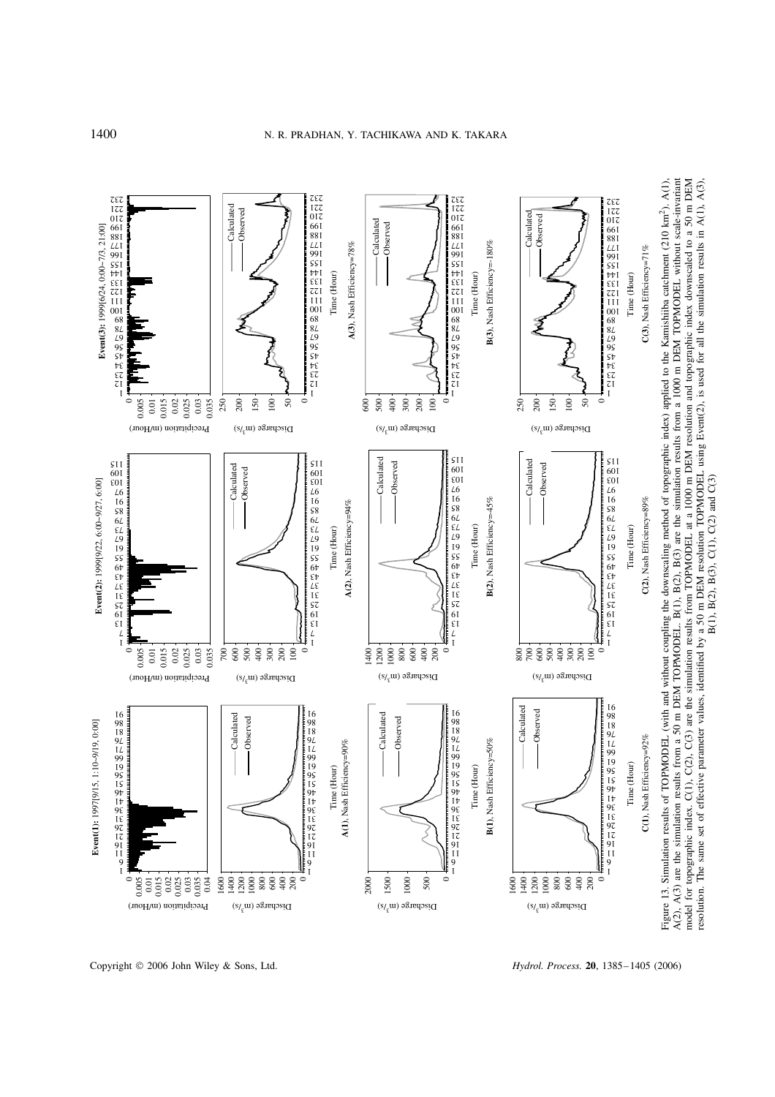

Copyright 2006 John Wiley & Sons, Ltd. *Hydrol. Process.* **20**, 1385–1405 (2006)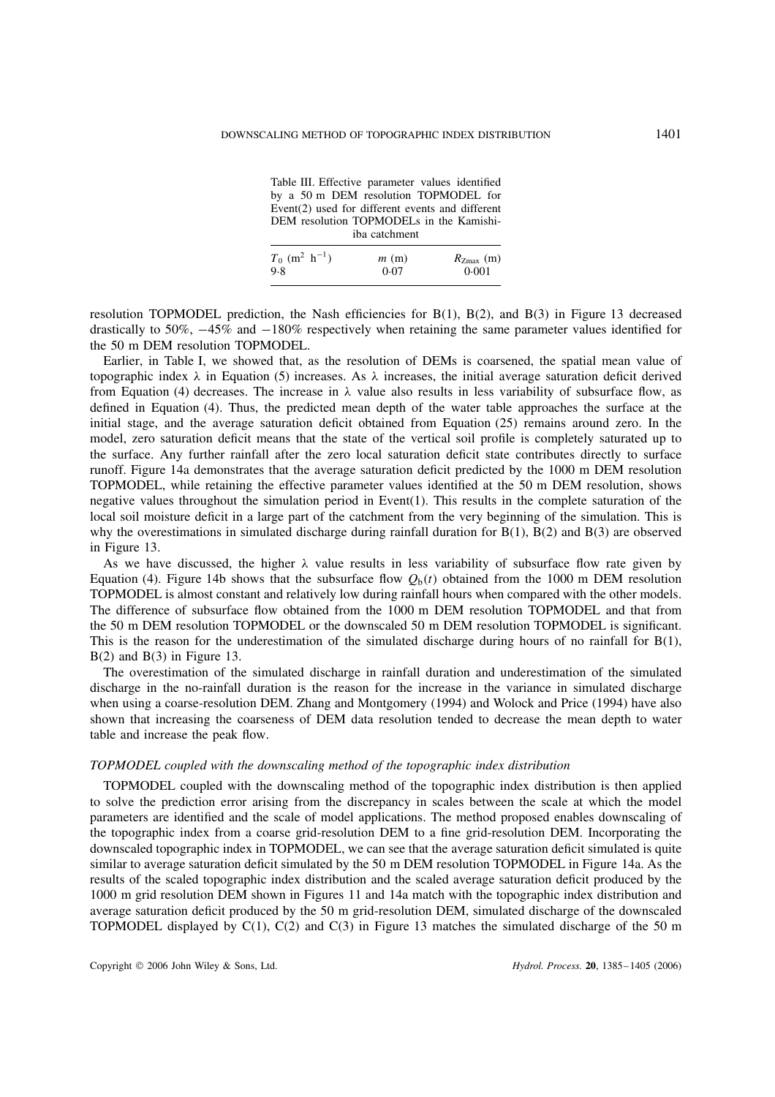Table III. Effective parameter values identified by a 50 m DEM resolution TOPMODEL for Event(2) used for different events and different DEM resolution TOPMODELs in the Kamishiiba catchment  $T_0$  (m<sup>2</sup> h<sup>-1</sup>)  $m (m)$   $R_{Zmax} (m)$ <br>0.07 0.001

9Ð8 0Ð07 0Ð001

| resolution TOPMODEL prediction, the Nash efficiencies for $B(1)$ , $B(2)$ , and $B(3)$ in Figure 13 decreased |  |  |  |  |  |
|---------------------------------------------------------------------------------------------------------------|--|--|--|--|--|
| drastically to 50%, $-45\%$ and $-180\%$ respectively when retaining the same parameter values identified for |  |  |  |  |  |
| the 50 m DEM resolution TOPMODEL.                                                                             |  |  |  |  |  |

Earlier, in Table I, we showed that, as the resolution of DEMs is coarsened, the spatial mean value of topographic index  $\lambda$  in Equation (5) increases. As  $\lambda$  increases, the initial average saturation deficit derived from Equation (4) decreases. The increase in  $\lambda$  value also results in less variability of subsurface flow, as defined in Equation (4). Thus, the predicted mean depth of the water table approaches the surface at the initial stage, and the average saturation deficit obtained from Equation (25) remains around zero. In the model, zero saturation deficit means that the state of the vertical soil profile is completely saturated up to the surface. Any further rainfall after the zero local saturation deficit state contributes directly to surface runoff. Figure 14a demonstrates that the average saturation deficit predicted by the 1000 m DEM resolution TOPMODEL, while retaining the effective parameter values identified at the 50 m DEM resolution, shows negative values throughout the simulation period in Event(1). This results in the complete saturation of the local soil moisture deficit in a large part of the catchment from the very beginning of the simulation. This is why the overestimations in simulated discharge during rainfall duration for  $B(1)$ ,  $B(2)$  and  $B(3)$  are observed in Figure 13.

As we have discussed, the higher  $\lambda$  value results in less variability of subsurface flow rate given by Equation (4). Figure 14b shows that the subsurface flow  $Q<sub>b</sub>(t)$  obtained from the 1000 m DEM resolution TOPMODEL is almost constant and relatively low during rainfall hours when compared with the other models. The difference of subsurface flow obtained from the 1000 m DEM resolution TOPMODEL and that from the 50 m DEM resolution TOPMODEL or the downscaled 50 m DEM resolution TOPMODEL is significant. This is the reason for the underestimation of the simulated discharge during hours of no rainfall for B(1),  $B(2)$  and  $B(3)$  in Figure 13.

The overestimation of the simulated discharge in rainfall duration and underestimation of the simulated discharge in the no-rainfall duration is the reason for the increase in the variance in simulated discharge when using a coarse-resolution DEM. Zhang and Montgomery (1994) and Wolock and Price (1994) have also shown that increasing the coarseness of DEM data resolution tended to decrease the mean depth to water table and increase the peak flow.

#### *TOPMODEL coupled with the downscaling method of the topographic index distribution*

TOPMODEL coupled with the downscaling method of the topographic index distribution is then applied to solve the prediction error arising from the discrepancy in scales between the scale at which the model parameters are identified and the scale of model applications. The method proposed enables downscaling of the topographic index from a coarse grid-resolution DEM to a fine grid-resolution DEM. Incorporating the downscaled topographic index in TOPMODEL, we can see that the average saturation deficit simulated is quite similar to average saturation deficit simulated by the 50 m DEM resolution TOPMODEL in Figure 14a. As the results of the scaled topographic index distribution and the scaled average saturation deficit produced by the 1000 m grid resolution DEM shown in Figures 11 and 14a match with the topographic index distribution and average saturation deficit produced by the 50 m grid-resolution DEM, simulated discharge of the downscaled TOPMODEL displayed by  $C(1)$ ,  $C(2)$  and  $C(3)$  in Figure 13 matches the simulated discharge of the 50 m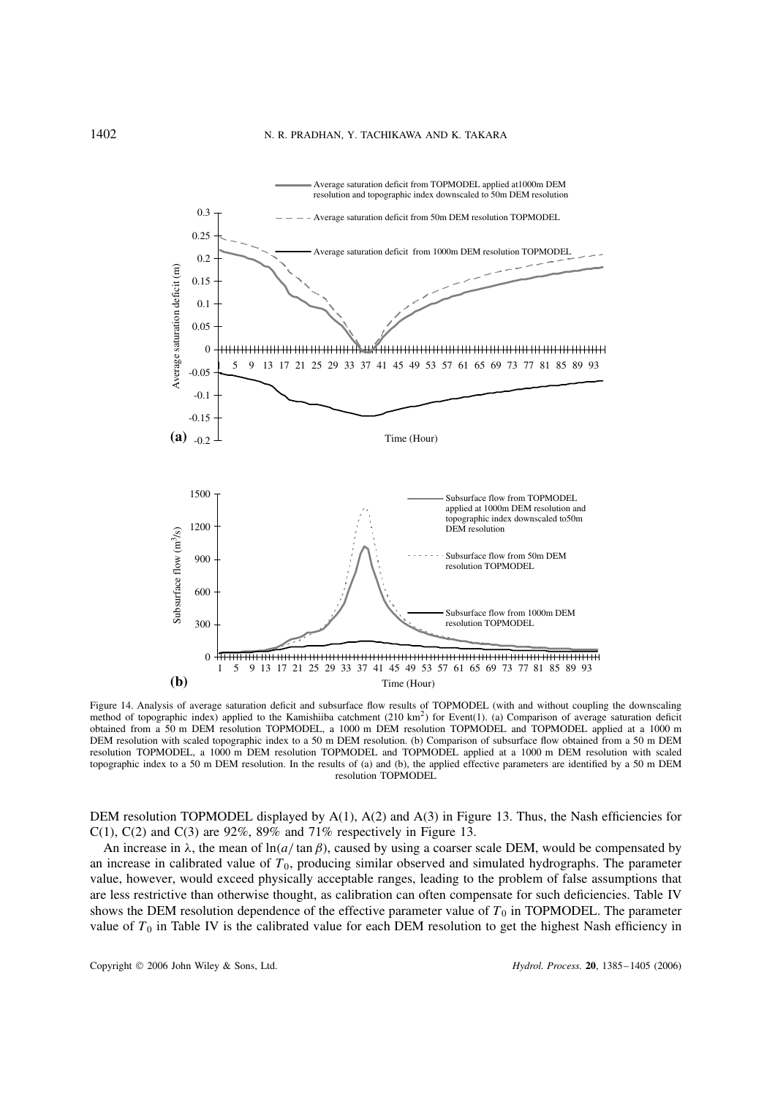

Figure 14. Analysis of average saturation deficit and subsurface flow results of TOPMODEL (with and without coupling the downscaling method of topographic index) applied to the Kamishiiba catchment (210 km<sup>2</sup>) for Event(1). (a) Comparison of average saturation deficit obtained from a 50 m DEM resolution TOPMODEL, a 1000 m DEM resolution TOPMODEL and TOPMODEL applied at a 1000 m DEM resolution with scaled topographic index to a 50 m DEM resolution. (b) Comparison of subsurface flow obtained from a 50 m DEM resolution TOPMODEL, a 1000 m DEM resolution TOPMODEL and TOPMODEL applied at a 1000 m DEM resolution with scaled topographic index to a 50 m DEM resolution. In the results of (a) and (b), the applied effective parameters are identified by a 50 m DEM resolution TOPMODEL

DEM resolution TOPMODEL displayed by A(1), A(2) and A(3) in Figure 13. Thus, the Nash efficiencies for C(1), C(2) and C(3) are  $92\%$ ,  $89\%$  and  $71\%$  respectively in Figure 13.

An increase in  $\lambda$ , the mean of  $\ln(a/\tan \beta)$ , caused by using a coarser scale DEM, would be compensated by an increase in calibrated value of  $T_0$ , producing similar observed and simulated hydrographs. The parameter value, however, would exceed physically acceptable ranges, leading to the problem of false assumptions that are less restrictive than otherwise thought, as calibration can often compensate for such deficiencies. Table IV shows the DEM resolution dependence of the effective parameter value of  $T_0$  in TOPMODEL. The parameter value of  $T_0$  in Table IV is the calibrated value for each DEM resolution to get the highest Nash efficiency in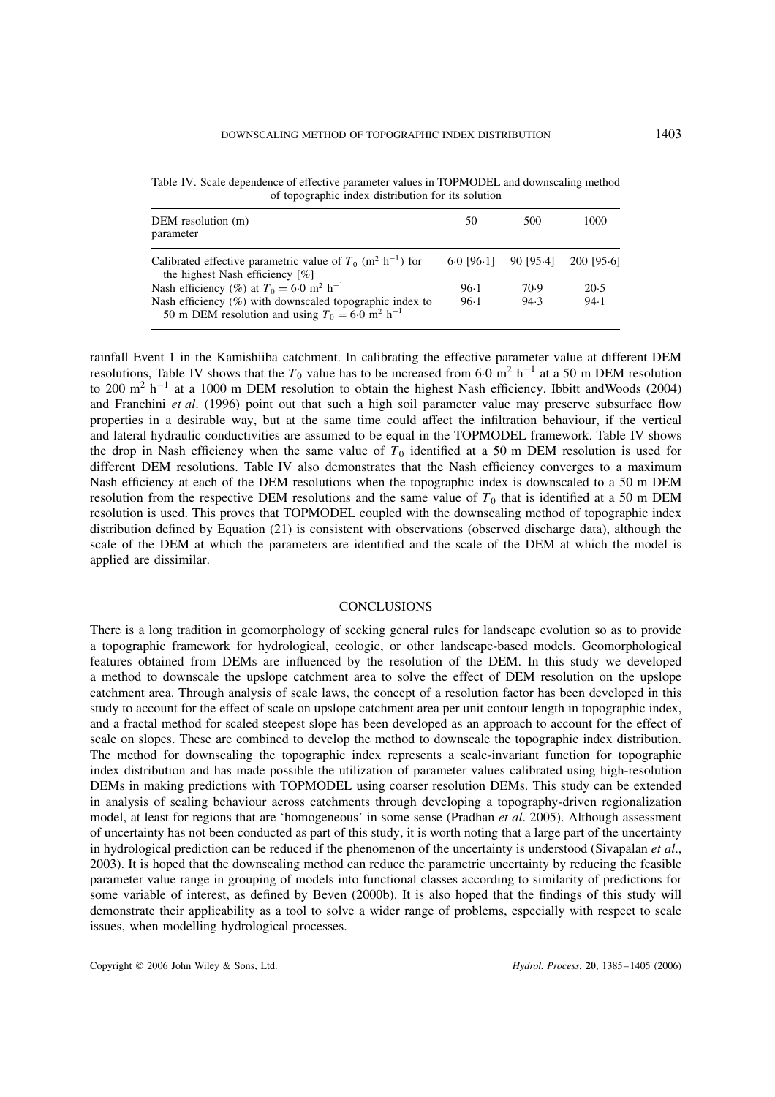| of topographic mack distribution for no solution                                                                                                                                                             |                        |              |              |
|--------------------------------------------------------------------------------------------------------------------------------------------------------------------------------------------------------------|------------------------|--------------|--------------|
| DEM resolution (m)<br>parameter                                                                                                                                                                              | 50                     | 500          | 1000         |
| Calibrated effective parametric value of $T_0$ (m <sup>2</sup> h <sup>-1</sup> ) for<br>the highest Nash efficiency $[\%]$                                                                                   | $6.0$ [96.1] 90 [95.4] |              | 200 [95.6]   |
| Nash efficiency (%) at $T_0 = 6.0$ m <sup>2</sup> h <sup>-1</sup><br>Nash efficiency $(\%)$ with downscaled topographic index to<br>50 m DEM resolution and using $T_0 = 6.0$ m <sup>2</sup> h <sup>-1</sup> | 96.1<br>96.1           | 70.9<br>94.3 | 20.5<br>94.1 |

Table IV. Scale dependence of effective parameter values in TOPMODEL and downscaling method of topographic index distribution for its solution

rainfall Event 1 in the Kamishiiba catchment. In calibrating the effective parameter value at different DEM resolutions, Table IV shows that the  $T_0$  value has to be increased from 6.0 m<sup>2</sup> h<sup>-1</sup> at a 50 m DEM resolution to 200 m<sup>2</sup> h<sup>-1</sup> at a 1000 m DEM resolution to obtain the highest Nash efficiency. Ibbitt andWoods (2004) and Franchini *et al*. (1996) point out that such a high soil parameter value may preserve subsurface flow properties in a desirable way, but at the same time could affect the infiltration behaviour, if the vertical and lateral hydraulic conductivities are assumed to be equal in the TOPMODEL framework. Table IV shows the drop in Nash efficiency when the same value of  $T_0$  identified at a 50 m DEM resolution is used for different DEM resolutions. Table IV also demonstrates that the Nash efficiency converges to a maximum Nash efficiency at each of the DEM resolutions when the topographic index is downscaled to a 50 m DEM resolution from the respective DEM resolutions and the same value of  $T_0$  that is identified at a 50 m DEM resolution is used. This proves that TOPMODEL coupled with the downscaling method of topographic index distribution defined by Equation (21) is consistent with observations (observed discharge data), although the scale of the DEM at which the parameters are identified and the scale of the DEM at which the model is applied are dissimilar.

#### **CONCLUSIONS**

There is a long tradition in geomorphology of seeking general rules for landscape evolution so as to provide a topographic framework for hydrological, ecologic, or other landscape-based models. Geomorphological features obtained from DEMs are influenced by the resolution of the DEM. In this study we developed a method to downscale the upslope catchment area to solve the effect of DEM resolution on the upslope catchment area. Through analysis of scale laws, the concept of a resolution factor has been developed in this study to account for the effect of scale on upslope catchment area per unit contour length in topographic index, and a fractal method for scaled steepest slope has been developed as an approach to account for the effect of scale on slopes. These are combined to develop the method to downscale the topographic index distribution. The method for downscaling the topographic index represents a scale-invariant function for topographic index distribution and has made possible the utilization of parameter values calibrated using high-resolution DEMs in making predictions with TOPMODEL using coarser resolution DEMs. This study can be extended in analysis of scaling behaviour across catchments through developing a topography-driven regionalization model, at least for regions that are 'homogeneous' in some sense (Pradhan *et al*. 2005). Although assessment of uncertainty has not been conducted as part of this study, it is worth noting that a large part of the uncertainty in hydrological prediction can be reduced if the phenomenon of the uncertainty is understood (Sivapalan *et al*., 2003). It is hoped that the downscaling method can reduce the parametric uncertainty by reducing the feasible parameter value range in grouping of models into functional classes according to similarity of predictions for some variable of interest, as defined by Beven (2000b). It is also hoped that the findings of this study will demonstrate their applicability as a tool to solve a wider range of problems, especially with respect to scale issues, when modelling hydrological processes.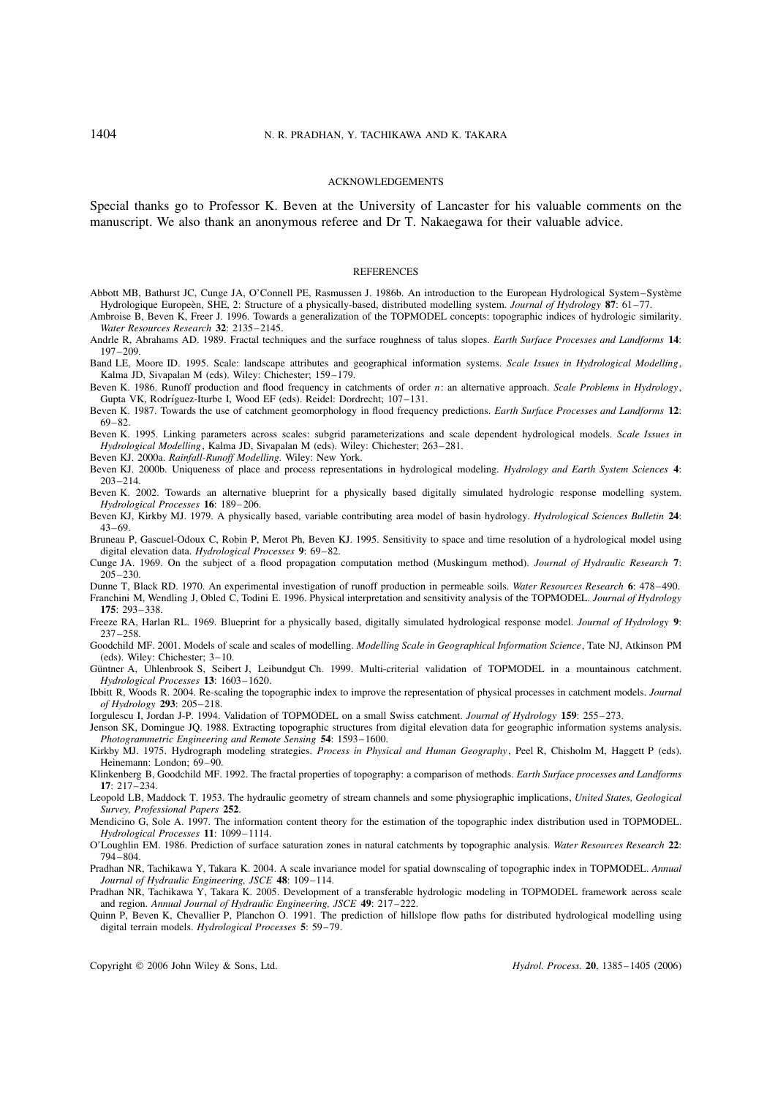#### ACKNOWLEDGEMENTS

Special thanks go to Professor K. Beven at the University of Lancaster for his valuable comments on the manuscript. We also thank an anonymous referee and Dr T. Nakaegawa for their valuable advice.

#### **REFERENCES**

Abbott MB, Bathurst JC, Cunge JA, O'Connell PE, Rasmussen J. 1986b. An introduction to the European Hydrological System–Systeme ` Hydrologique Europeèn, SHE, 2: Structure of a physically-based, distributed modelling system. *Journal of Hydrology* 87: 61-77.

Ambroise B, Beven K, Freer J. 1996. Towards a generalization of the TOPMODEL concepts: topographic indices of hydrologic similarity. *Water Resources Research* **32**: 2135–2145.

Andrle R, Abrahams AD. 1989. Fractal techniques and the surface roughness of talus slopes. *Earth Surface Processes and Landforms* **14**: 197–209.

Band LE, Moore ID. 1995. Scale: landscape attributes and geographical information systems. *Scale Issues in Hydrological Modelling*, Kalma JD, Sivapalan M (eds). Wiley: Chichester; 159–179.

Beven K. 1986. Runoff production and flood frequency in catchments of order n: an alternative approach. *Scale Problems in Hydrology*, Gupta VK, Rodríguez-Iturbe I, Wood EF (eds). Reidel: Dordrecht; 107-131.

Beven K. 1987. Towards the use of catchment geomorphology in flood frequency predictions. *Earth Surface Processes and Landforms* **12**: 69–82.

Beven K. 1995. Linking parameters across scales: subgrid parameterizations and scale dependent hydrological models. *Scale Issues in Hydrological Modelling*, Kalma JD, Sivapalan M (eds). Wiley: Chichester; 263–281.

Beven KJ. 2000a. *Rainfall-Runoff Modelling.* Wiley: New York.

Beven KJ. 2000b. Uniqueness of place and process representations in hydrological modeling. *Hydrology and Earth System Sciences* **4**: 203–214.

Beven K. 2002. Towards an alternative blueprint for a physically based digitally simulated hydrologic response modelling system. *Hydrological Processes* **16**: 189–206.

Beven KJ, Kirkby MJ. 1979. A physically based, variable contributing area model of basin hydrology. *Hydrological Sciences Bulletin* **24**: 43–69.

Bruneau P, Gascuel-Odoux C, Robin P, Merot Ph, Beven KJ. 1995. Sensitivity to space and time resolution of a hydrological model using digital elevation data. *Hydrological Processes* **9**: 69–82.

Cunge JA. 1969. On the subject of a flood propagation computation method (Muskingum method). *Journal of Hydraulic Research* **7**:  $205 - 230$ .

Dunne T, Black RD. 1970. An experimental investigation of runoff production in permeable soils. *Water Resources Research* **6**: 478–490. Franchini M, Wendling J, Obled C, Todini E. 1996. Physical interpretation and sensitivity analysis of the TOPMODEL. *Journal of Hydrology* **175**: 293–338.

Freeze RA, Harlan RL. 1969. Blueprint for a physically based, digitally simulated hydrological response model. *Journal of Hydrology* **9**: 237–258.

Goodchild MF. 2001. Models of scale and scales of modelling. *Modelling Scale in Geographical Information Science*, Tate NJ, Atkinson PM (eds). Wiley: Chichester; 3–10.

Güntner A, Uhlenbrook S, Seibert J, Leibundgut Ch. 1999. Multi-criterial validation of TOPMODEL in a mountainous catchment. *Hydrological Processes* **13**: 1603–1620.

Ibbitt R, Woods R. 2004. Re-scaling the topographic index to improve the representation of physical processes in catchment models. *Journal of Hydrology* **293**: 205–218.

Iorgulescu I, Jordan J-P. 1994. Validation of TOPMODEL on a small Swiss catchment. *Journal of Hydrology* **159**: 255–273.

Jenson SK, Domingue JQ. 1988. Extracting topographic structures from digital elevation data for geographic information systems analysis. *Photogrammetric Engineering and Remote Sensing* **54**: 1593–1600.

Kirkby MJ. 1975. Hydrograph modeling strategies. *Process in Physical and Human Geography*, Peel R, Chisholm M, Haggett P (eds). Heinemann: London; 69–90.

Klinkenberg B, Goodchild MF. 1992. The fractal properties of topography: a comparison of methods. *Earth Surface processes and Landforms* **17**: 217–234.

Leopold LB, Maddock T. 1953. The hydraulic geometry of stream channels and some physiographic implications, *United States, Geological Survey, Professional Papers* **252**.

Mendicino G, Sole A. 1997. The information content theory for the estimation of the topographic index distribution used in TOPMODEL. *Hydrological Processes* **11**: 1099–1114.

O'Loughlin EM. 1986. Prediction of surface saturation zones in natural catchments by topographic analysis. *Water Resources Research* **22**: 794–804.

Pradhan NR, Tachikawa Y, Takara K. 2004. A scale invariance model for spatial downscaling of topographic index in TOPMODEL. *Annual Journal of Hydraulic Engineering, JSCE* **48**: 109–114.

Pradhan NR, Tachikawa Y, Takara K. 2005. Development of a transferable hydrologic modeling in TOPMODEL framework across scale and region. *Annual Journal of Hydraulic Engineering, JSCE* **49**: 217–222.

Quinn P, Beven K, Chevallier P, Planchon O. 1991. The prediction of hillslope flow paths for distributed hydrological modelling using digital terrain models. *Hydrological Processes* **5**: 59–79.